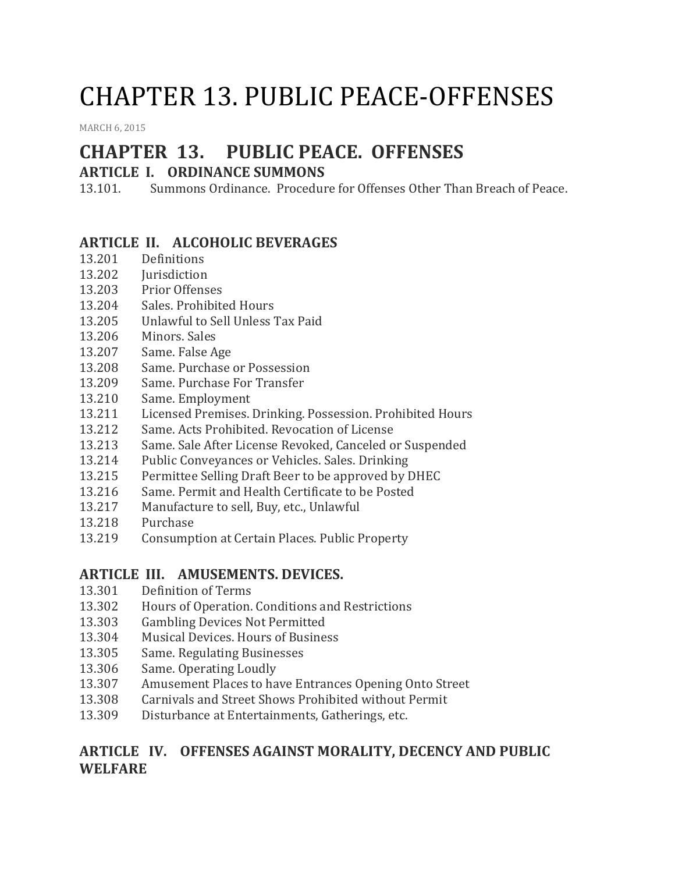# CHAPTER 13. PUBLIC PEACE-OFFENSES

[MARCH](http://townofcampobello.us/chapter-13-public-peace-offenses/) 6, 2015

## **CHAPTER 13. PUBLIC PEACE. OFFENSES**

## **ARTICLE I. ORDINANCE SUMMONS**

13.101. Summons Ordinance. Procedure for Offenses Other Than Breach of Peace.

#### **ARTICLE II. ALCOHOLIC BEVERAGES**

- 13.201 Definitions
- 13.202 Jurisdiction
- 13.203 Prior Offenses
- 13.204 Sales. Prohibited Hours
- 13.205 Unlawful to Sell Unless Tax Paid
- 13.206 Minors. Sales
- 13.207 Same. False Age
- 13.208 Same. Purchase or Possession
- 13.209 Same. Purchase For Transfer
- 13.210 Same. Employment
- 13.211 Licensed Premises. Drinking. Possession. Prohibited Hours
- 13.212 Same. Acts Prohibited. Revocation of License
- 13.213 Same. Sale After License Revoked, Canceled or Suspended
- 13.214 Public Conveyances or Vehicles. Sales. Drinking
- 13.215 Permittee Selling Draft Beer to be approved by DHEC
- 13.216 Same. Permit and Health Certificate to be Posted
- 13.217 Manufacture to sell, Buy, etc., Unlawful
- 13.218 Purchase
- 13.219 Consumption at Certain Places. Public Property

#### **ARTICLE III. AMUSEMENTS. DEVICES.**

- 13.301 Definition of Terms
- 13.302 Hours of Operation. Conditions and Restrictions
- 13.303 Gambling Devices Not Permitted
- 13.304 Musical Devices. Hours of Business
- 13.305 Same. Regulating Businesses
- 13.306 Same. Operating Loudly
- 13.307 Amusement Places to have Entrances Opening Onto Street
- 13.308 Carnivals and Street Shows Prohibited without Permit
- 13.309 Disturbance at Entertainments, Gatherings, etc.

## **ARTICLE IV. OFFENSES AGAINST MORALITY, DECENCY AND PUBLIC WELFARE**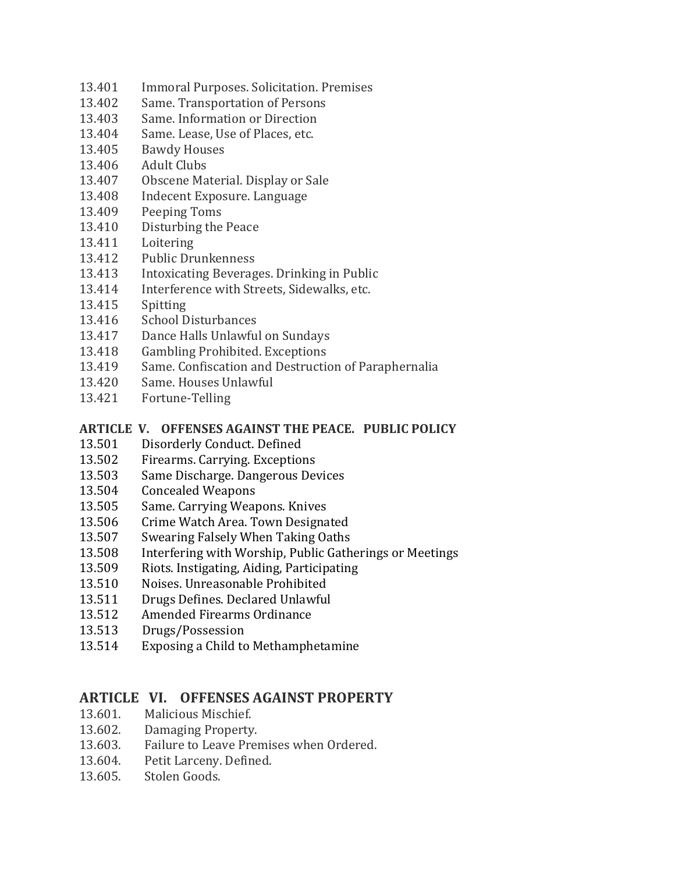- 13.401 Immoral Purposes. Solicitation. Premises
- 13.402 Same. Transportation of Persons
- 13.403 Same. Information or Direction
- 13.404 Same. Lease, Use of Places, etc.
- 13.405 Bawdy Houses
- 13.406 Adult Clubs
- 13.407 Obscene Material. Display or Sale
- 13.408 Indecent Exposure. Language
- 13.409 Peeping Toms
- 13.410 Disturbing the Peace
- 13.411 Loitering
- 13.412 Public Drunkenness
- 13.413 Intoxicating Beverages. Drinking in Public
- 13.414 Interference with Streets, Sidewalks, etc.
- 13.415 Spitting
- 13.416 School Disturbances
- 13.417 Dance Halls Unlawful on Sundays
- 13.418 Gambling Prohibited. Exceptions
- 13.419 Same. Confiscation and Destruction of Paraphernalia
- 13.420 Same. Houses Unlawful
- 13.421 Fortune-Telling

#### **ARTICLE V. OFFENSES AGAINST THE PEACE. PUBLIC POLICY**

- 13.501 Disorderly Conduct. Defined
- 13.502 Firearms. Carrying. Exceptions
- 13.503 Same Discharge. Dangerous Devices
- 13.504 Concealed Weapons
- 13.505 Same. Carrying Weapons. Knives
- 13.506 Crime Watch Area. Town Designated
- 13.507 Swearing Falsely When Taking Oaths
- 13.508 Interfering with Worship, Public Gatherings or Meetings
- 13.509 Riots. Instigating, Aiding, Participating
- 13.510 Noises. Unreasonable Prohibited
- 13.511 Drugs Defines. Declared Unlawful
- 13.512 Amended Firearms Ordinance
- 13.513 Drugs/Possession
- 13.514 Exposing a Child to Methamphetamine

#### **ARTICLE VI. OFFENSES AGAINST PROPERTY**

- 13.601. Malicious Mischief.
- 13.602. Damaging Property.
- 13.603. Failure to Leave Premises when Ordered.
- 13.604. Petit Larceny. Defined.
- 13.605. Stolen Goods.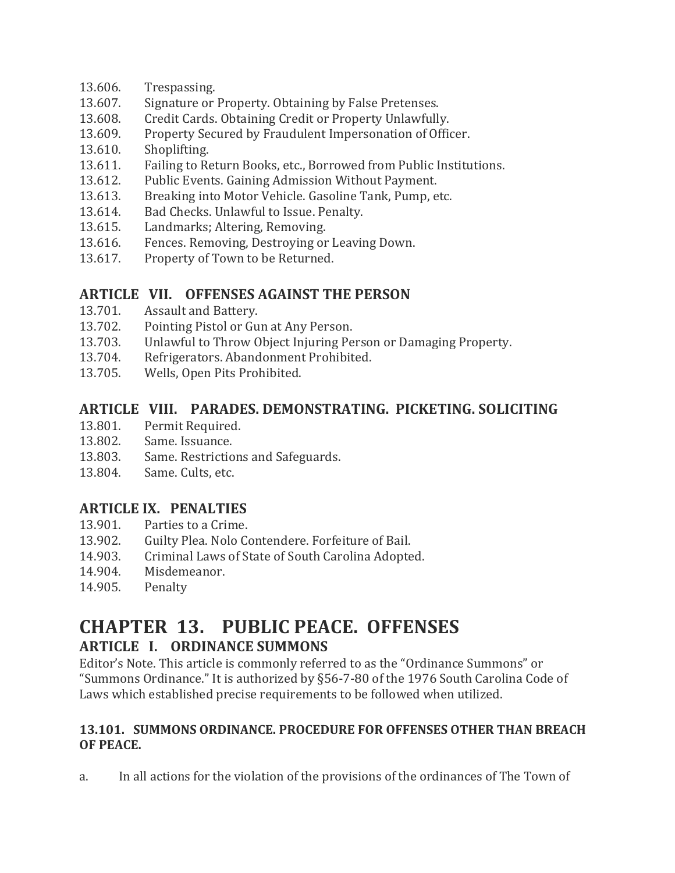- 13.606. Trespassing.
- 13.607. Signature or Property. Obtaining by False Pretenses.
- 13.608. Credit Cards. Obtaining Credit or Property Unlawfully.
- 13.609. Property Secured by Fraudulent Impersonation of Officer.
- 13.610. Shoplifting.
- 13.611. Failing to Return Books, etc., Borrowed from Public Institutions.
- 13.612. Public Events. Gaining Admission Without Payment.
- 13.613. Breaking into Motor Vehicle. Gasoline Tank, Pump, etc.
- 13.614. Bad Checks. Unlawful to Issue. Penalty.
- 13.615. Landmarks; Altering, Removing.
- 13.616. Fences. Removing, Destroying or Leaving Down.
- 13.617. Property of Town to be Returned.

## **ARTICLE VII. OFFENSES AGAINST THE PERSON**

- 13.701. Assault and Battery.
- 13.702. Pointing Pistol or Gun at Any Person.
- 13.703. Unlawful to Throw Object Injuring Person or Damaging Property.
- 13.704. Refrigerators. Abandonment Prohibited.
- 13.705. Wells, Open Pits Prohibited.

#### **ARTICLE VIII. PARADES. DEMONSTRATING. PICKETING. SOLICITING**

- 13.801. Permit Required.
- 13.802. Same. Issuance.
- 13.803. Same. Restrictions and Safeguards.
- 13.804. Same. Cults, etc.

## **ARTICLE IX. PENALTIES**

- 13.901. Parties to a Crime.
- 13.902. Guilty Plea. Nolo Contendere. Forfeiture of Bail.
- 14.903. Criminal Laws of State of South Carolina Adopted.
- 14.904. Misdemeanor.
- 14.905. Penalty

# **CHAPTER 13. PUBLIC PEACE. OFFENSES ARTICLE I. ORDINANCE SUMMONS**

Editor's Note. This article is commonly referred to as the "Ordinance Summons" or "Summons Ordinance." It is authorized by §56-7-80 of the 1976 South Carolina Code of Laws which established precise requirements to be followed when utilized.

#### **13.101. SUMMONS ORDINANCE. PROCEDURE FOR OFFENSES OTHER THAN BREACH OF PEACE.**

a. In all actions for the violation of the provisions of the ordinances of The Town of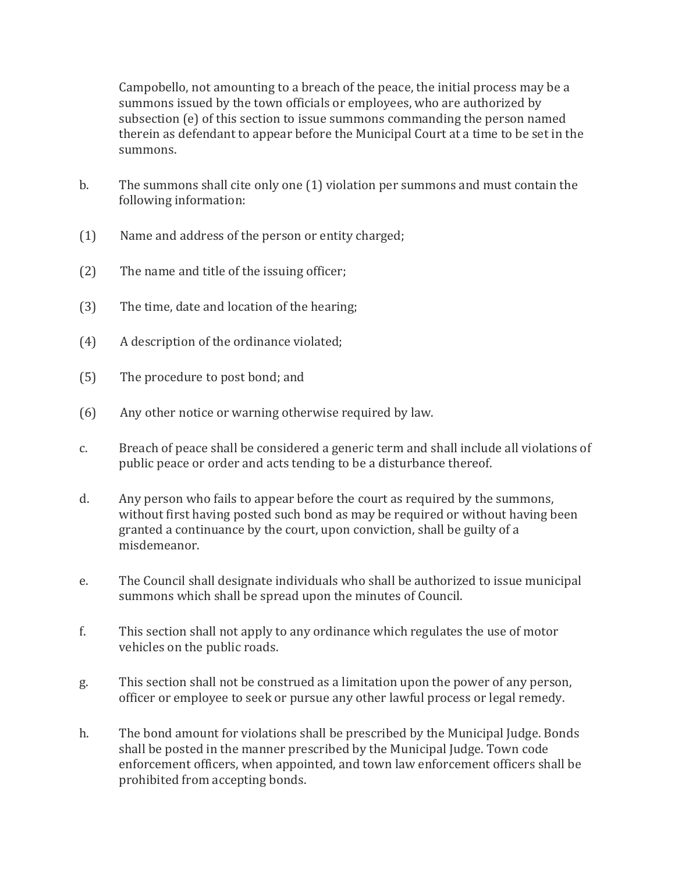Campobello, not amounting to a breach of the peace, the initial process may be a summons issued by the town officials or employees, who are authorized by subsection (e) of this section to issue summons commanding the person named therein as defendant to appear before the Municipal Court at a time to be set in the summons.

- b. The summons shall cite only one (1) violation per summons and must contain the following information:
- (1) Name and address of the person or entity charged;
- (2) The name and title of the issuing officer;
- (3) The time, date and location of the hearing;
- (4) A description of the ordinance violated;
- (5) The procedure to post bond; and
- (6) Any other notice or warning otherwise required by law.
- c. Breach of peace shall be considered a generic term and shall include all violations of public peace or order and acts tending to be a disturbance thereof.
- d. Any person who fails to appear before the court as required by the summons, without first having posted such bond as may be required or without having been granted a continuance by the court, upon conviction, shall be guilty of a misdemeanor.
- e. The Council shall designate individuals who shall be authorized to issue municipal summons which shall be spread upon the minutes of Council.
- f. This section shall not apply to any ordinance which regulates the use of motor vehicles on the public roads.
- g. This section shall not be construed as a limitation upon the power of any person, officer or employee to seek or pursue any other lawful process or legal remedy.
- h. The bond amount for violations shall be prescribed by the Municipal Judge. Bonds shall be posted in the manner prescribed by the Municipal Judge. Town code enforcement officers, when appointed, and town law enforcement officers shall be prohibited from accepting bonds.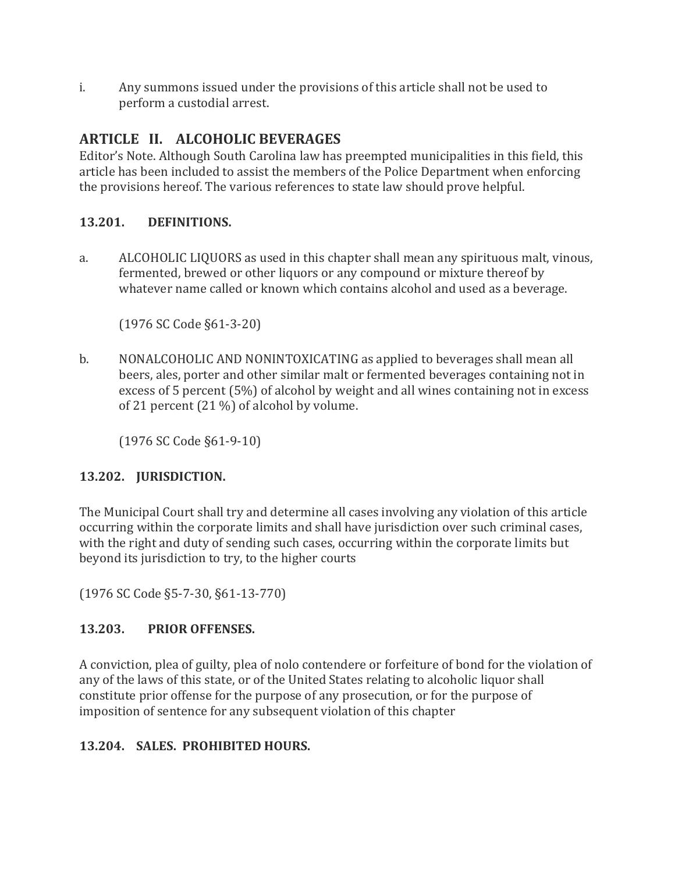i. Any summons issued under the provisions of this article shall not be used to perform a custodial arrest.

## **ARTICLE II. ALCOHOLIC BEVERAGES**

Editor's Note. Although South Carolina law has preempted municipalities in this field, this article has been included to assist the members of the Police Department when enforcing the provisions hereof. The various references to state law should prove helpful.

## **13.201. DEFINITIONS.**

a. ALCOHOLIC LIQUORS as used in this chapter shall mean any spirituous malt, vinous, fermented, brewed or other liquors or any compound or mixture thereof by whatever name called or known which contains alcohol and used as a beverage.

(1976 SC Code §61-3-20)

b. NONALCOHOLIC AND NONINTOXICATING as applied to beverages shall mean all beers, ales, porter and other similar malt or fermented beverages containing not in excess of 5 percent (5%) of alcohol by weight and all wines containing not in excess of 21 percent (21 %) of alcohol by volume.

(1976 SC Code §61-9-10)

## **13.202. JURISDICTION.**

The Municipal Court shall try and determine all cases involving any violation of this article occurring within the corporate limits and shall have jurisdiction over such criminal cases, with the right and duty of sending such cases, occurring within the corporate limits but beyond its jurisdiction to try, to the higher courts

(1976 SC Code §5-7-30, §61-13-770)

## **13.203. PRIOR OFFENSES.**

A conviction, plea of guilty, plea of nolo contendere or forfeiture of bond for the violation of any of the laws of this state, or of the United States relating to alcoholic liquor shall constitute prior offense for the purpose of any prosecution, or for the purpose of imposition of sentence for any subsequent violation of this chapter

## **13.204. SALES. PROHIBITED HOURS.**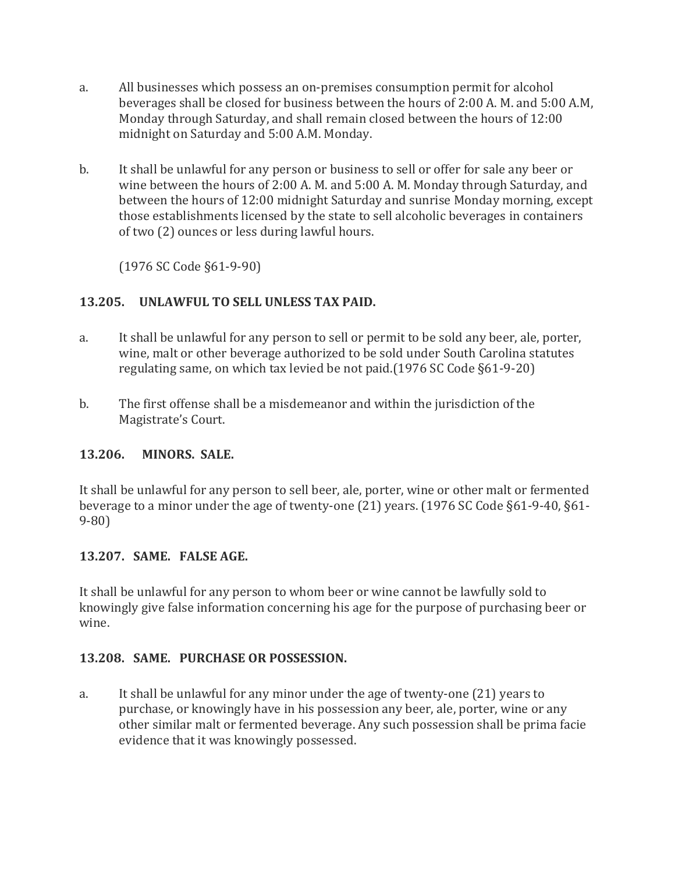- a. All businesses which possess an on-premises consumption permit for alcohol beverages shall be closed for business between the hours of 2:00 A. M. and 5:00 A.M, Monday through Saturday, and shall remain closed between the hours of 12:00 midnight on Saturday and 5:00 A.M. Monday.
- b. It shall be unlawful for any person or business to sell or offer for sale any beer or wine between the hours of 2:00 A. M. and 5:00 A. M. Monday through Saturday, and between the hours of 12:00 midnight Saturday and sunrise Monday morning, except those establishments licensed by the state to sell alcoholic beverages in containers of two (2) ounces or less during lawful hours.

(1976 SC Code §61-9-90)

#### **13.205. UNLAWFUL TO SELL UNLESS TAX PAID.**

- a. It shall be unlawful for any person to sell or permit to be sold any beer, ale, porter, wine, malt or other beverage authorized to be sold under South Carolina statutes regulating same, on which tax levied be not paid.(1976 SC Code §61-9-20)
- b. The first offense shall be a misdemeanor and within the jurisdiction of the Magistrate's Court.

#### **13.206. MINORS. SALE.**

It shall be unlawful for any person to sell beer, ale, porter, wine or other malt or fermented beverage to a minor under the age of twenty-one (21) years. (1976 SC Code §61-9-40, §61- 9-80)

#### **13.207. SAME. FALSE AGE.**

It shall be unlawful for any person to whom beer or wine cannot be lawfully sold to knowingly give false information concerning his age for the purpose of purchasing beer or wine.

#### **13.208. SAME. PURCHASE OR POSSESSION.**

a. It shall be unlawful for any minor under the age of twenty-one (21) years to purchase, or knowingly have in his possession any beer, ale, porter, wine or any other similar malt or fermented beverage. Any such possession shall be prima facie evidence that it was knowingly possessed.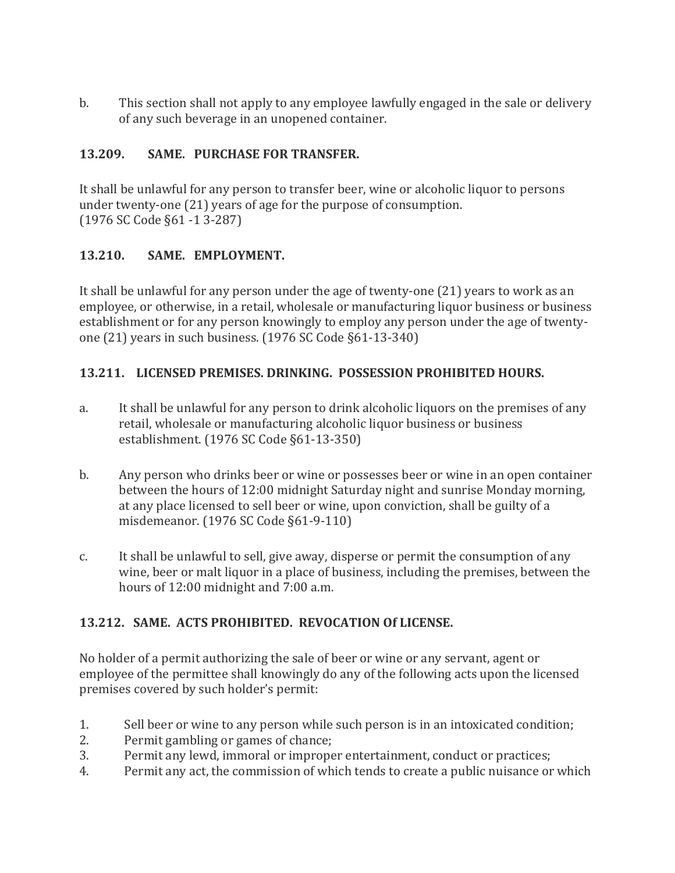b. This section shall not apply to any employee lawfully engaged in the sale or delivery of any such beverage in an unopened container.

#### **13.209. SAME. PURCHASE FOR TRANSFER.**

It shall be unlawful for any person to transfer beer, wine or alcoholic liquor to persons under twenty-one (21) years of age for the purpose of consumption. (1976 SC Code §61 -1 3-287)

#### **13.210. SAME. EMPLOYMENT.**

It shall be unlawful for any person under the age of twenty-one (21) years to work as an employee, or otherwise, in a retail, wholesale or manufacturing liquor business or business establishment or for any person knowingly to employ any person under the age of twentyone (21) years in such business. (1976 SC Code §61-13-340)

#### **13.211. LICENSED PREMISES. DRINKING. POSSESSION PROHIBITED HOURS.**

- a. It shall be unlawful for any person to drink alcoholic liquors on the premises of any retail, wholesale or manufacturing alcoholic liquor business or business establishment. (1976 SC Code §61-13-350)
- b. Any person who drinks beer or wine or possesses beer or wine in an open container between the hours of 12:00 midnight Saturday night and sunrise Monday morning, at any place licensed to sell beer or wine, upon conviction, shall be guilty of a misdemeanor. (1976 SC Code §61-9-110)
- c. It shall be unlawful to sell, give away, disperse or permit the consumption of any wine, beer or malt liquor in a place of business, including the premises, between the hours of 12:00 midnight and 7:00 a.m.

#### **13.212. SAME. ACTS PROHIBITED. REVOCATION Of LICENSE.**

No holder of a permit authorizing the sale of beer or wine or any servant, agent or employee of the permittee shall knowingly do any of the following acts upon the licensed premises covered by such holder's permit:

- 1. Sell beer or wine to any person while such person is in an intoxicated condition;
- 2. Permit gambling or games of chance;
- 3. Permit any lewd, immoral or improper entertainment, conduct or practices;
- 4. Permit any act, the commission of which tends to create a public nuisance or which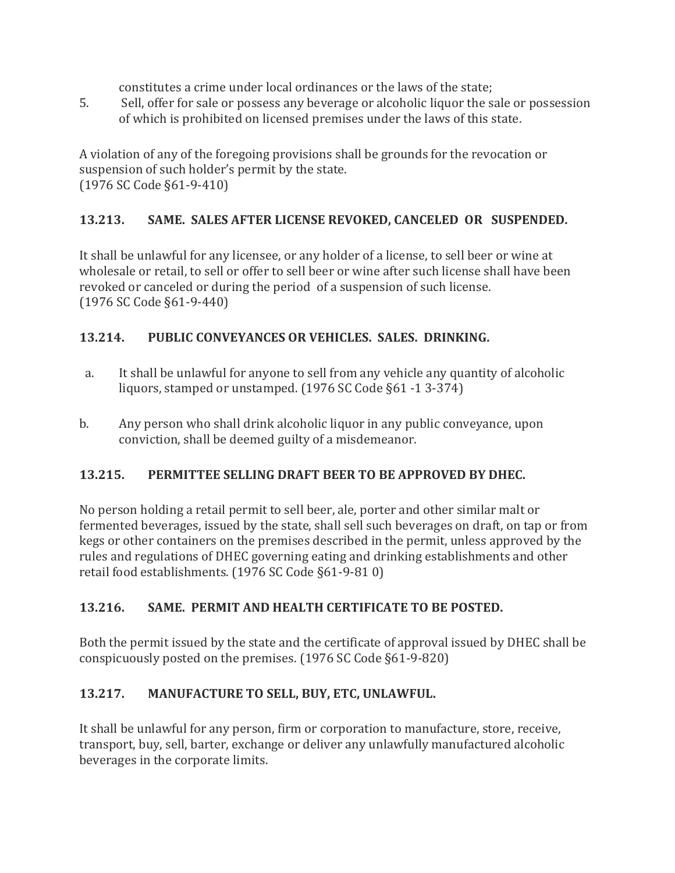constitutes a crime under local ordinances or the laws of the state;

5. Sell, offer for sale or possess any beverage or alcoholic liquor the sale or possession of which is prohibited on licensed premises under the laws of this state.

A violation of any of the foregoing provisions shall be grounds for the revocation or suspension of such holder's permit by the state. (1976 SC Code §61-9-410)

## **13.213. SAME. SALES AFTER LICENSE REVOKED, CANCELED OR SUSPENDED.**

It shall be unlawful for any licensee, or any holder of a license, to sell beer or wine at wholesale or retail, to sell or offer to sell beer or wine after such license shall have been revoked or canceled or during the period of a suspension of such license. (1976 SC Code §61-9-440)

## **13.214. PUBLIC CONVEYANCES OR VEHICLES. SALES. DRINKING.**

- a. It shall be unlawful for anyone to sell from any vehicle any quantity of alcoholic liquors, stamped or unstamped. (1976 SC Code §61 -1 3-374)
- b. Any person who shall drink alcoholic liquor in any public conveyance, upon conviction, shall be deemed guilty of a misdemeanor.

## **13.215. PERMITTEE SELLING DRAFT BEER TO BE APPROVED BY DHEC.**

No person holding a retail permit to sell beer, ale, porter and other similar malt or fermented beverages, issued by the state, shall sell such beverages on draft, on tap or from kegs or other containers on the premises described in the permit, unless approved by the rules and regulations of DHEC governing eating and drinking establishments and other retail food establishments. (1976 SC Code §61-9-81 0)

## **13.216. SAME. PERMIT AND HEALTH CERTIFICATE TO BE POSTED.**

Both the permit issued by the state and the certificate of approval issued by DHEC shall be conspicuously posted on the premises. (1976 SC Code §61-9-820)

## **13.217. MANUFACTURE TO SELL, BUY, ETC, UNLAWFUL.**

It shall be unlawful for any person, firm or corporation to manufacture, store, receive, transport, buy, sell, barter, exchange or deliver any unlawfully manufactured alcoholic beverages in the corporate limits.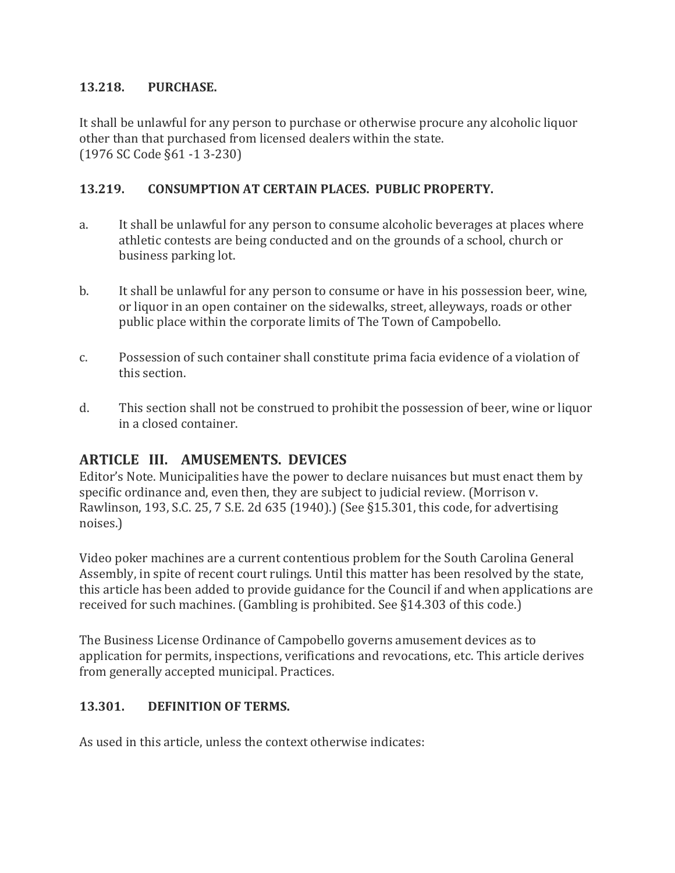#### **13.218. PURCHASE.**

It shall be unlawful for any person to purchase or otherwise procure any alcoholic liquor other than that purchased from licensed dealers within the state. (1976 SC Code §61 -1 3-230)

#### **13.219. CONSUMPTION AT CERTAIN PLACES. PUBLIC PROPERTY.**

- a. It shall be unlawful for any person to consume alcoholic beverages at places where athletic contests are being conducted and on the grounds of a school, church or business parking lot.
- b. It shall be unlawful for any person to consume or have in his possession beer, wine, or liquor in an open container on the sidewalks, street, alleyways, roads or other public place within the corporate limits of The Town of Campobello.
- c. Possession of such container shall constitute prima facia evidence of a violation of this section.
- d. This section shall not be construed to prohibit the possession of beer, wine or liquor in a closed container.

## **ARTICLE III. AMUSEMENTS. DEVICES**

Editor's Note. Municipalities have the power to declare nuisances but must enact them by specific ordinance and, even then, they are subject to judicial review. (Morrison v. Rawlinson, 193, S.C. 25, 7 S.E. 2d 635 (1940).) (See §15.301, this code, for advertising noises.)

Video poker machines are a current contentious problem for the South Carolina General Assembly, in spite of recent court rulings. Until this matter has been resolved by the state, this article has been added to provide guidance for the Council if and when applications are received for such machines. (Gambling is prohibited. See §14.303 of this code.)

The Business License Ordinance of Campobello governs amusement devices as to application for permits, inspections, verifications and revocations, etc. This article derives from generally accepted municipal. Practices.

#### **13.301. DEFINITION OF TERMS.**

As used in this article, unless the context otherwise indicates: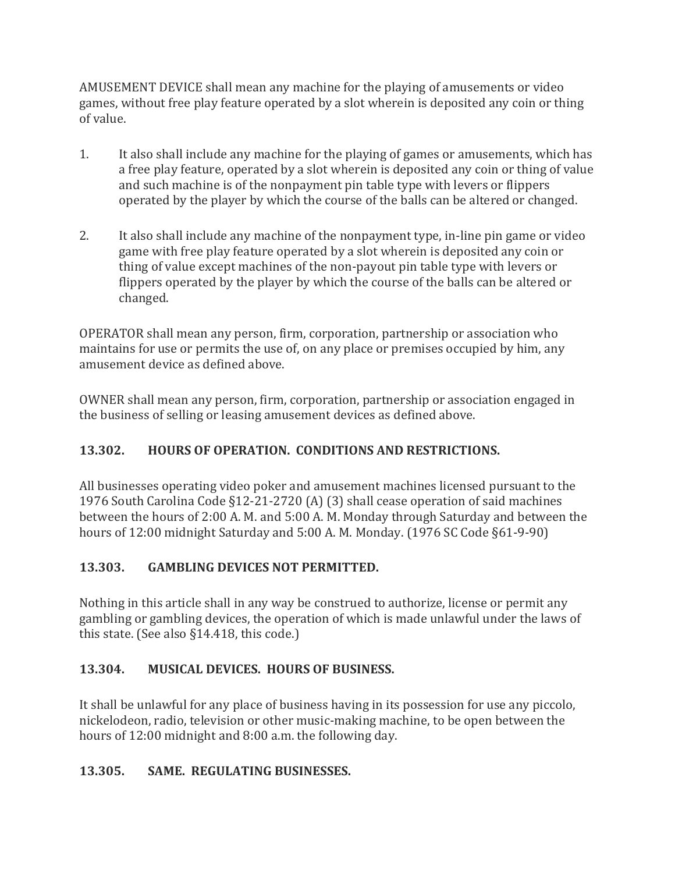AMUSEMENT DEVICE shall mean any machine for the playing of amusements or video games, without free play feature operated by a slot wherein is deposited any coin or thing of value.

- 1. It also shall include any machine for the playing of games or amusements, which has a free play feature, operated by a slot wherein is deposited any coin or thing of value and such machine is of the nonpayment pin table type with levers or flippers operated by the player by which the course of the balls can be altered or changed.
- 2. It also shall include any machine of the nonpayment type, in-line pin game or video game with free play feature operated by a slot wherein is deposited any coin or thing of value except machines of the non-payout pin table type with levers or flippers operated by the player by which the course of the balls can be altered or changed.

OPERATOR shall mean any person, firm, corporation, partnership or association who maintains for use or permits the use of, on any place or premises occupied by him, any amusement device as defined above.

OWNER shall mean any person, firm, corporation, partnership or association engaged in the business of selling or leasing amusement devices as defined above.

## **13.302. HOURS OF OPERATION. CONDITIONS AND RESTRICTIONS.**

All businesses operating video poker and amusement machines licensed pursuant to the 1976 South Carolina Code §12-21-2720 (A) (3) shall cease operation of said machines between the hours of 2:00 A. M. and 5:00 A. M. Monday through Saturday and between the hours of 12:00 midnight Saturday and 5:00 A. M. Monday. (1976 SC Code §61-9-90)

## **13.303. GAMBLING DEVICES NOT PERMITTED.**

Nothing in this article shall in any way be construed to authorize, license or permit any gambling or gambling devices, the operation of which is made unlawful under the laws of this state. (See also §14.418, this code.)

## **13.304. MUSICAL DEVICES. HOURS OF BUSINESS.**

It shall be unlawful for any place of business having in its possession for use any piccolo, nickelodeon, radio, television or other music-making machine, to be open between the hours of 12:00 midnight and 8:00 a.m. the following day.

## **13.305. SAME. REGULATING BUSINESSES.**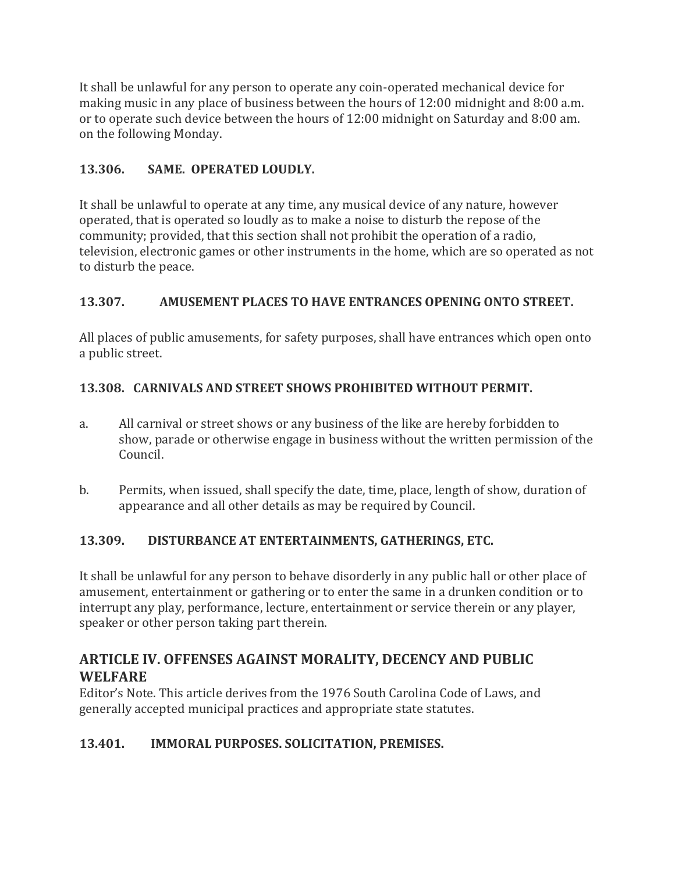It shall be unlawful for any person to operate any coin-operated mechanical device for making music in any place of business between the hours of 12:00 midnight and 8:00 a.m. or to operate such device between the hours of 12:00 midnight on Saturday and 8:00 am. on the following Monday.

## **13.306. SAME. OPERATED LOUDLY.**

It shall be unlawful to operate at any time, any musical device of any nature, however operated, that is operated so loudly as to make a noise to disturb the repose of the community; provided, that this section shall not prohibit the operation of a radio, television, electronic games or other instruments in the home, which are so operated as not to disturb the peace.

## **13.307. AMUSEMENT PLACES TO HAVE ENTRANCES OPENING ONTO STREET.**

All places of public amusements, for safety purposes, shall have entrances which open onto a public street.

## **13.308. CARNIVALS AND STREET SHOWS PROHIBITED WITHOUT PERMIT.**

- a. All carnival or street shows or any business of the like are hereby forbidden to show, parade or otherwise engage in business without the written permission of the Council.
- b. Permits, when issued, shall specify the date, time, place, length of show, duration of appearance and all other details as may be required by Council.

#### **13.309. DISTURBANCE AT ENTERTAINMENTS, GATHERINGS, ETC.**

It shall be unlawful for any person to behave disorderly in any public hall or other place of amusement, entertainment or gathering or to enter the same in a drunken condition or to interrupt any play, performance, lecture, entertainment or service therein or any player, speaker or other person taking part therein.

## **ARTICLE IV. OFFENSES AGAINST MORALITY, DECENCY AND PUBLIC WELFARE**

Editor's Note. This article derives from the 1976 South Carolina Code of Laws, and generally accepted municipal practices and appropriate state statutes.

## **13.401. IMMORAL PURPOSES. SOLICITATION, PREMISES.**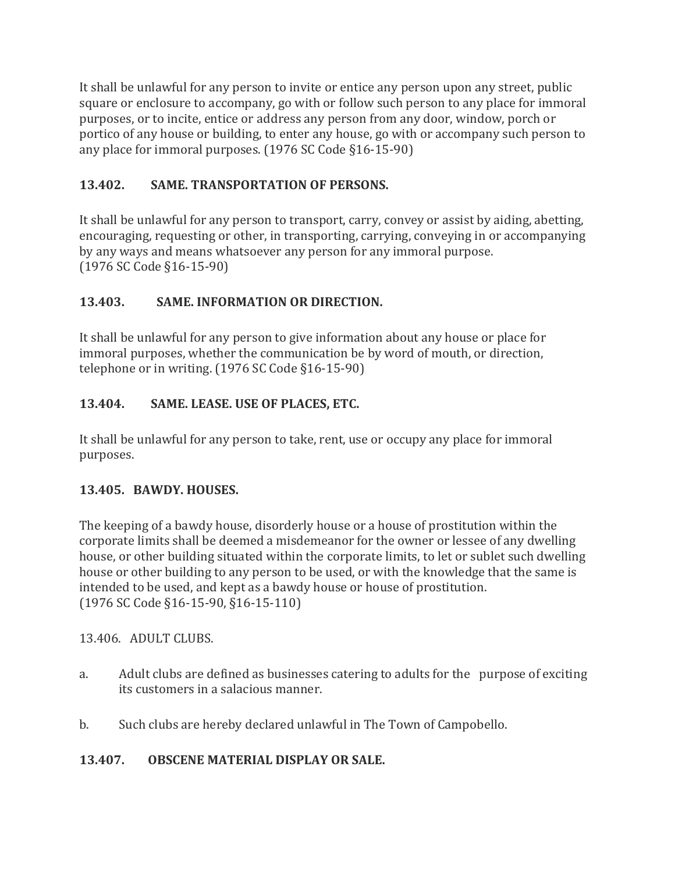It shall be unlawful for any person to invite or entice any person upon any street, public square or enclosure to accompany, go with or follow such person to any place for immoral purposes, or to incite, entice or address any person from any door, window, porch or portico of any house or building, to enter any house, go with or accompany such person to any place for immoral purposes. (1976 SC Code §16-15-90)

## **13.402. SAME. TRANSPORTATION OF PERSONS.**

It shall be unlawful for any person to transport, carry, convey or assist by aiding, abetting, encouraging, requesting or other, in transporting, carrying, conveying in or accompanying by any ways and means whatsoever any person for any immoral purpose. (1976 SC Code §16-15-90)

## **13.403. SAME. INFORMATION OR DIRECTION.**

It shall be unlawful for any person to give information about any house or place for immoral purposes, whether the communication be by word of mouth, or direction, telephone or in writing. (1976 SC Code §16-15-90)

## **13.404. SAME. LEASE. USE OF PLACES, ETC.**

It shall be unlawful for any person to take, rent, use or occupy any place for immoral purposes.

## **13.405. BAWDY. HOUSES.**

The keeping of a bawdy house, disorderly house or a house of prostitution within the corporate limits shall be deemed a misdemeanor for the owner or lessee of any dwelling house, or other building situated within the corporate limits, to let or sublet such dwelling house or other building to any person to be used, or with the knowledge that the same is intended to be used, and kept as a bawdy house or house of prostitution. (1976 SC Code §16-15-90, §16-15-110)

13.406. ADULT CLUBS.

- a. Adult clubs are defined as businesses catering to adults for the purpose of exciting its customers in a salacious manner.
- b. Such clubs are hereby declared unlawful in The Town of Campobello.

## **13.407. OBSCENE MATERIAL DISPLAY OR SALE.**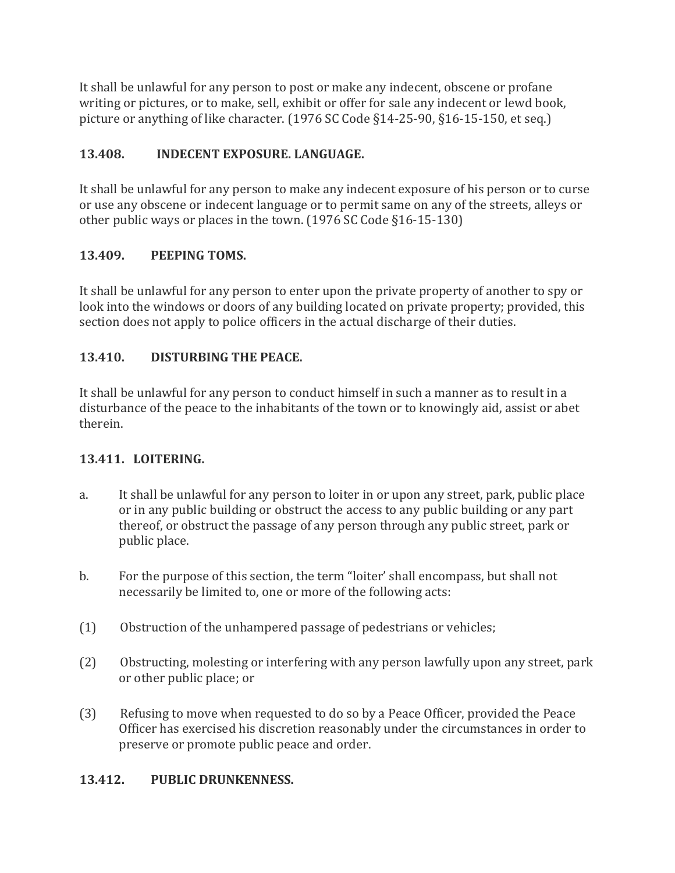It shall be unlawful for any person to post or make any indecent, obscene or profane writing or pictures, or to make, sell, exhibit or offer for sale any indecent or lewd book, picture or anything of like character. (1976 SC Code §14-25-90, §16-15-150, et seq.)

## **13.408. INDECENT EXPOSURE. LANGUAGE.**

It shall be unlawful for any person to make any indecent exposure of his person or to curse or use any obscene or indecent language or to permit same on any of the streets, alleys or other public ways or places in the town. (1976 SC Code §16-15-130)

## **13.409. PEEPING TOMS.**

It shall be unlawful for any person to enter upon the private property of another to spy or look into the windows or doors of any building located on private property; provided, this section does not apply to police officers in the actual discharge of their duties.

## **13.410. DISTURBING THE PEACE.**

It shall be unlawful for any person to conduct himself in such a manner as to result in a disturbance of the peace to the inhabitants of the town or to knowingly aid, assist or abet therein.

#### **13.411. LOITERING.**

- a. It shall be unlawful for any person to loiter in or upon any street, park, public place or in any public building or obstruct the access to any public building or any part thereof, or obstruct the passage of any person through any public street, park or public place.
- b. For the purpose of this section, the term "loiter' shall encompass, but shall not necessarily be limited to, one or more of the following acts:
- (1) Obstruction of the unhampered passage of pedestrians or vehicles;
- (2) Obstructing, molesting or interfering with any person lawfully upon any street, park or other public place; or
- (3) Refusing to move when requested to do so by a Peace Officer, provided the Peace Officer has exercised his discretion reasonably under the circumstances in order to preserve or promote public peace and order.

## **13.412. PUBLIC DRUNKENNESS.**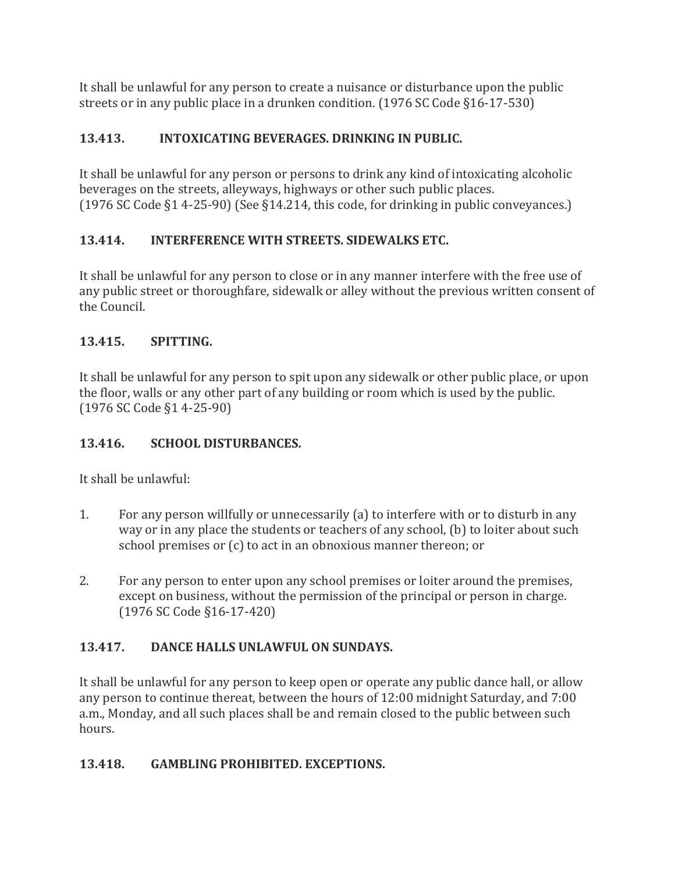It shall be unlawful for any person to create a nuisance or disturbance upon the public streets or in any public place in a drunken condition. (1976 SC Code §16-17-530)

## **13.413. INTOXICATING BEVERAGES. DRINKING IN PUBLIC.**

It shall be unlawful for any person or persons to drink any kind of intoxicating alcoholic beverages on the streets, alleyways, highways or other such public places. (1976 SC Code §1 4-25-90) (See §14.214, this code, for drinking in public conveyances.)

## **13.414. INTERFERENCE WITH STREETS. SIDEWALKS ETC.**

It shall be unlawful for any person to close or in any manner interfere with the free use of any public street or thoroughfare, sidewalk or alley without the previous written consent of the Council.

## **13.415. SPITTING.**

It shall be unlawful for any person to spit upon any sidewalk or other public place, or upon the floor, walls or any other part of any building or room which is used by the public. (1976 SC Code §1 4-25-90)

## **13.416. SCHOOL DISTURBANCES.**

It shall be unlawful:

- 1. For any person willfully or unnecessarily (a) to interfere with or to disturb in any way or in any place the students or teachers of any school, (b) to loiter about such school premises or (c) to act in an obnoxious manner thereon; or
- 2. For any person to enter upon any school premises or loiter around the premises, except on business, without the permission of the principal or person in charge. (1976 SC Code §16-17-420)

## **13.417. DANCE HALLS UNLAWFUL ON SUNDAYS.**

It shall be unlawful for any person to keep open or operate any public dance hall, or allow any person to continue thereat, between the hours of 12:00 midnight Saturday, and 7:00 a.m., Monday, and all such places shall be and remain closed to the public between such hours.

#### **13.418. GAMBLING PROHIBITED. EXCEPTIONS.**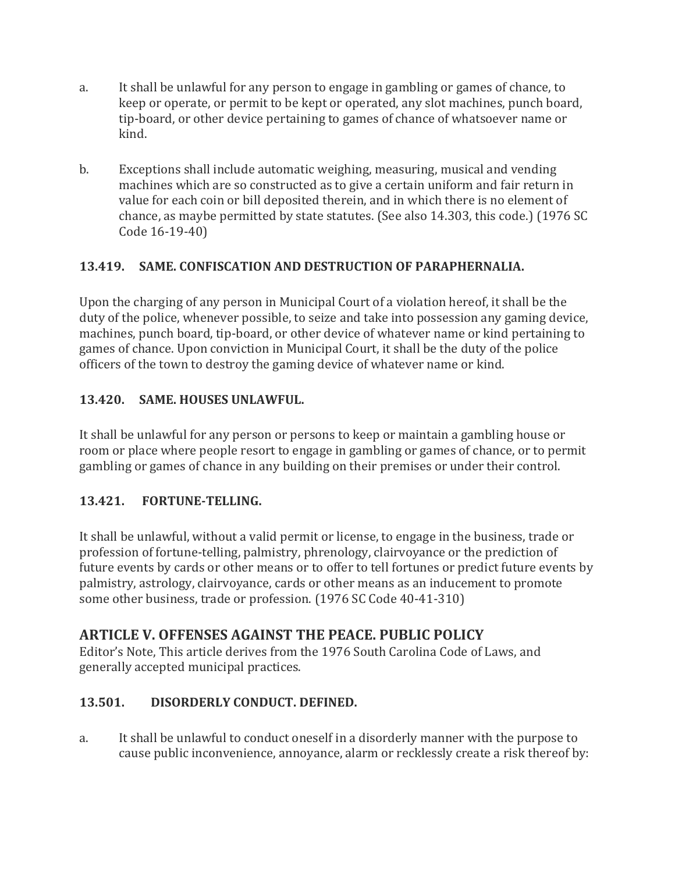- a. It shall be unlawful for any person to engage in gambling or games of chance, to keep or operate, or permit to be kept or operated, any slot machines, punch board, tip-board, or other device pertaining to games of chance of whatsoever name or kind.
- b. Exceptions shall include automatic weighing, measuring, musical and vending machines which are so constructed as to give a certain uniform and fair return in value for each coin or bill deposited therein, and in which there is no element of chance, as maybe permitted by state statutes. (See also 14.303, this code.) (1976 SC Code 16-19-40)

## **13.419. SAME. CONFISCATION AND DESTRUCTION OF PARAPHERNALIA.**

Upon the charging of any person in Municipal Court of a violation hereof, it shall be the duty of the police, whenever possible, to seize and take into possession any gaming device, machines, punch board, tip-board, or other device of whatever name or kind pertaining to games of chance. Upon conviction in Municipal Court, it shall be the duty of the police officers of the town to destroy the gaming device of whatever name or kind.

## **13.420. SAME. HOUSES UNLAWFUL.**

It shall be unlawful for any person or persons to keep or maintain a gambling house or room or place where people resort to engage in gambling or games of chance, or to permit gambling or games of chance in any building on their premises or under their control.

#### **13.421. FORTUNE-TELLING.**

It shall be unlawful, without a valid permit or license, to engage in the business, trade or profession of fortune-telling, palmistry, phrenology, clairvoyance or the prediction of future events by cards or other means or to offer to tell fortunes or predict future events by palmistry, astrology, clairvoyance, cards or other means as an inducement to promote some other business, trade or profession. (1976 SC Code 40-41-310)

## **ARTICLE V. OFFENSES AGAINST THE PEACE. PUBLIC POLICY**

Editor's Note, This article derives from the 1976 South Carolina Code of Laws, and generally accepted municipal practices.

#### **13.501. DISORDERLY CONDUCT. DEFINED.**

a. It shall be unlawful to conduct oneself in a disorderly manner with the purpose to cause public inconvenience, annoyance, alarm or recklessly create a risk thereof by: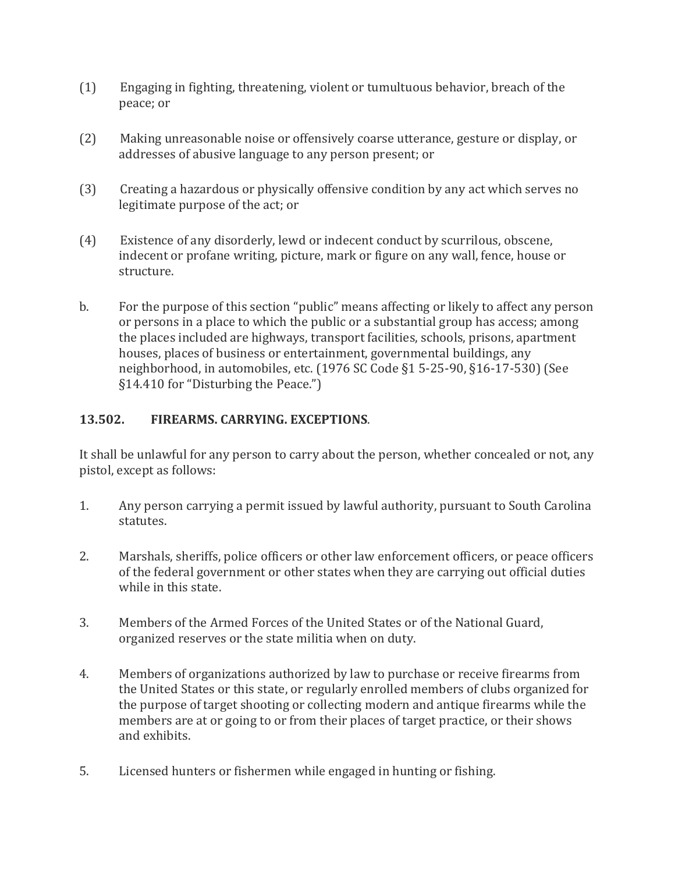- (1) Engaging in fighting, threatening, violent or tumultuous behavior, breach of the peace; or
- (2) Making unreasonable noise or offensively coarse utterance, gesture or display, or addresses of abusive language to any person present; or
- (3) Creating a hazardous or physically offensive condition by any act which serves no legitimate purpose of the act; or
- (4) Existence of any disorderly, lewd or indecent conduct by scurrilous, obscene, indecent or profane writing, picture, mark or figure on any wall, fence, house or structure.
- b. For the purpose of this section "public" means affecting or likely to affect any person or persons in a place to which the public or a substantial group has access; among the places included are highways, transport facilities, schools, prisons, apartment houses, places of business or entertainment, governmental buildings, any neighborhood, in automobiles, etc. (1976 SC Code §1 5-25-90, §16-17-530) (See §14.410 for "Disturbing the Peace.")

#### **13.502. FIREARMS. CARRYING. EXCEPTIONS**.

It shall be unlawful for any person to carry about the person, whether concealed or not, any pistol, except as follows:

- 1. Any person carrying a permit issued by lawful authority, pursuant to South Carolina statutes.
- 2. Marshals, sheriffs, police officers or other law enforcement officers, or peace officers of the federal government or other states when they are carrying out official duties while in this state.
- 3. Members of the Armed Forces of the United States or of the National Guard, organized reserves or the state militia when on duty.
- 4. Members of organizations authorized by law to purchase or receive firearms from the United States or this state, or regularly enrolled members of clubs organized for the purpose of target shooting or collecting modern and antique firearms while the members are at or going to or from their places of target practice, or their shows and exhibits.
- 5. Licensed hunters or fishermen while engaged in hunting or fishing.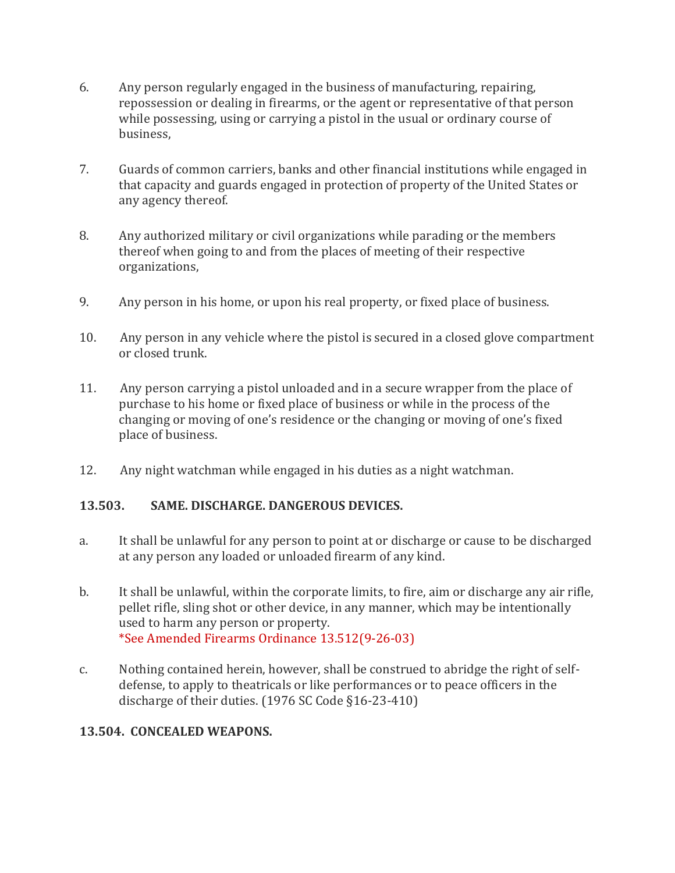- 6. Any person regularly engaged in the business of manufacturing, repairing, repossession or dealing in firearms, or the agent or representative of that person while possessing, using or carrying a pistol in the usual or ordinary course of business,
- 7. Guards of common carriers, banks and other financial institutions while engaged in that capacity and guards engaged in protection of property of the United States or any agency thereof.
- 8. Any authorized military or civil organizations while parading or the members thereof when going to and from the places of meeting of their respective organizations,
- 9. Any person in his home, or upon his real property, or fixed place of business.
- 10. Any person in any vehicle where the pistol is secured in a closed glove compartment or closed trunk.
- 11. Any person carrying a pistol unloaded and in a secure wrapper from the place of purchase to his home or fixed place of business or while in the process of the changing or moving of one's residence or the changing or moving of one's fixed place of business.
- 12. Any night watchman while engaged in his duties as a night watchman.

#### **13.503. SAME. DISCHARGE. DANGEROUS DEVICES.**

- a. It shall be unlawful for any person to point at or discharge or cause to be discharged at any person any loaded or unloaded firearm of any kind.
- b. It shall be unlawful, within the corporate limits, to fire, aim or discharge any air rifle, pellet rifle, sling shot or other device, in any manner, which may be intentionally used to harm any person or property. \*See Amended Firearms Ordinance 13.512(9-26-03)
- c. Nothing contained herein, however, shall be construed to abridge the right of selfdefense, to apply to theatricals or like performances or to peace officers in the discharge of their duties. (1976 SC Code §16-23-410)

#### **13.504. CONCEALED WEAPONS.**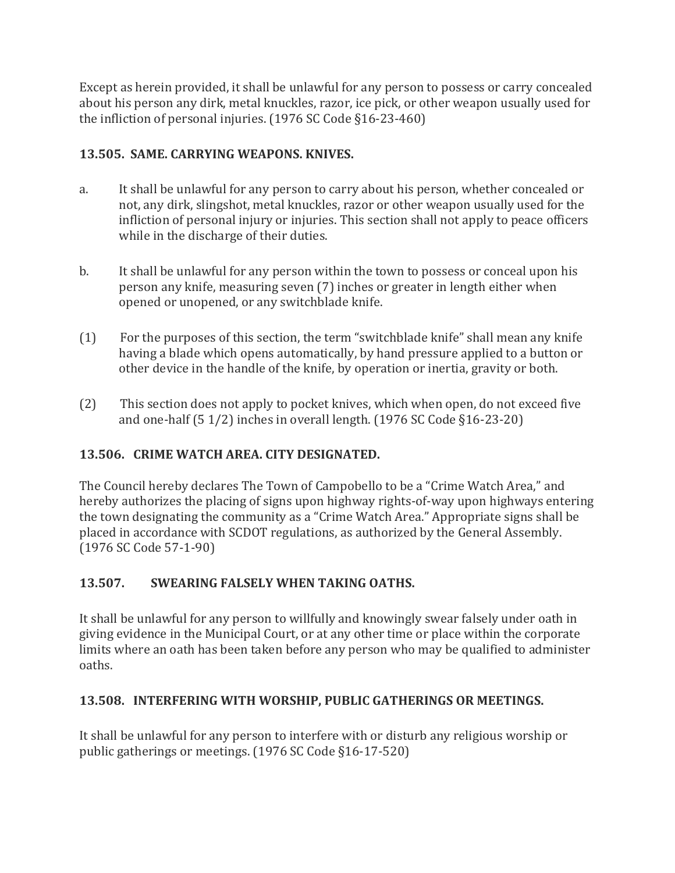Except as herein provided, it shall be unlawful for any person to possess or carry concealed about his person any dirk, metal knuckles, razor, ice pick, or other weapon usually used for the infliction of personal injuries. (1976 SC Code §16-23-460)

## **13.505. SAME. CARRYING WEAPONS. KNIVES.**

- a. It shall be unlawful for any person to carry about his person, whether concealed or not, any dirk, slingshot, metal knuckles, razor or other weapon usually used for the infliction of personal injury or injuries. This section shall not apply to peace officers while in the discharge of their duties.
- b. It shall be unlawful for any person within the town to possess or conceal upon his person any knife, measuring seven (7) inches or greater in length either when opened or unopened, or any switchblade knife.
- (1) For the purposes of this section, the term "switchblade knife" shall mean any knife having a blade which opens automatically, by hand pressure applied to a button or other device in the handle of the knife, by operation or inertia, gravity or both.
- (2) This section does not apply to pocket knives, which when open, do not exceed five and one-half (5 1/2) inches in overall length. (1976 SC Code §16-23-20)

## **13.506. CRIME WATCH AREA. CITY DESIGNATED.**

The Council hereby declares The Town of Campobello to be a "Crime Watch Area," and hereby authorizes the placing of signs upon highway rights-of-way upon highways entering the town designating the community as a "Crime Watch Area." Appropriate signs shall be placed in accordance with SCDOT regulations, as authorized by the General Assembly. (1976 SC Code 57-1-90)

## **13.507. SWEARING FALSELY WHEN TAKING OATHS.**

It shall be unlawful for any person to willfully and knowingly swear falsely under oath in giving evidence in the Municipal Court, or at any other time or place within the corporate limits where an oath has been taken before any person who may be qualified to administer oaths.

## **13.508. INTERFERING WITH WORSHIP, PUBLIC GATHERINGS OR MEETINGS.**

It shall be unlawful for any person to interfere with or disturb any religious worship or public gatherings or meetings. (1976 SC Code §16-17-520)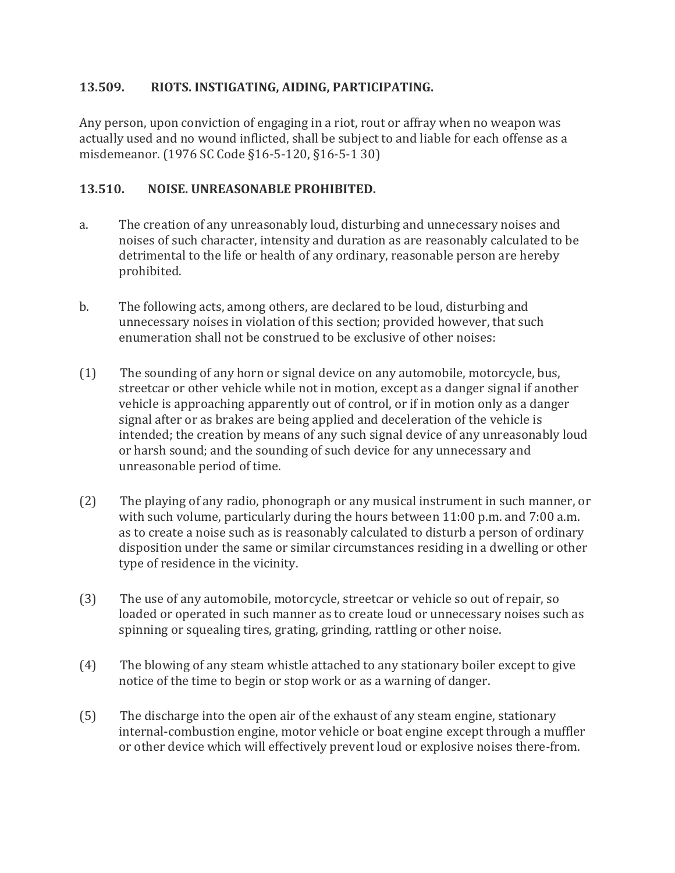#### **13.509. RIOTS. INSTIGATING, AIDING, PARTICIPATING.**

Any person, upon conviction of engaging in a riot, rout or affray when no weapon was actually used and no wound inflicted, shall be subject to and liable for each offense as a misdemeanor. (1976 SC Code §16-5-120, §16-5-1 30)

#### **13.510. NOISE. UNREASONABLE PROHIBITED.**

- a. The creation of any unreasonably loud, disturbing and unnecessary noises and noises of such character, intensity and duration as are reasonably calculated to be detrimental to the life or health of any ordinary, reasonable person are hereby prohibited.
- b. The following acts, among others, are declared to be loud, disturbing and unnecessary noises in violation of this section; provided however, that such enumeration shall not be construed to be exclusive of other noises:
- (1) The sounding of any horn or signal device on any automobile, motorcycle, bus, streetcar or other vehicle while not in motion, except as a danger signal if another vehicle is approaching apparently out of control, or if in motion only as a danger signal after or as brakes are being applied and deceleration of the vehicle is intended; the creation by means of any such signal device of any unreasonably loud or harsh sound; and the sounding of such device for any unnecessary and unreasonable period of time.
- (2) The playing of any radio, phonograph or any musical instrument in such manner, or with such volume, particularly during the hours between 11:00 p.m. and 7:00 a.m. as to create a noise such as is reasonably calculated to disturb a person of ordinary disposition under the same or similar circumstances residing in a dwelling or other type of residence in the vicinity.
- (3) The use of any automobile, motorcycle, streetcar or vehicle so out of repair, so loaded or operated in such manner as to create loud or unnecessary noises such as spinning or squealing tires, grating, grinding, rattling or other noise.
- (4) The blowing of any steam whistle attached to any stationary boiler except to give notice of the time to begin or stop work or as a warning of danger.
- (5) The discharge into the open air of the exhaust of any steam engine, stationary internal-combustion engine, motor vehicle or boat engine except through a muffler or other device which will effectively prevent loud or explosive noises there-from.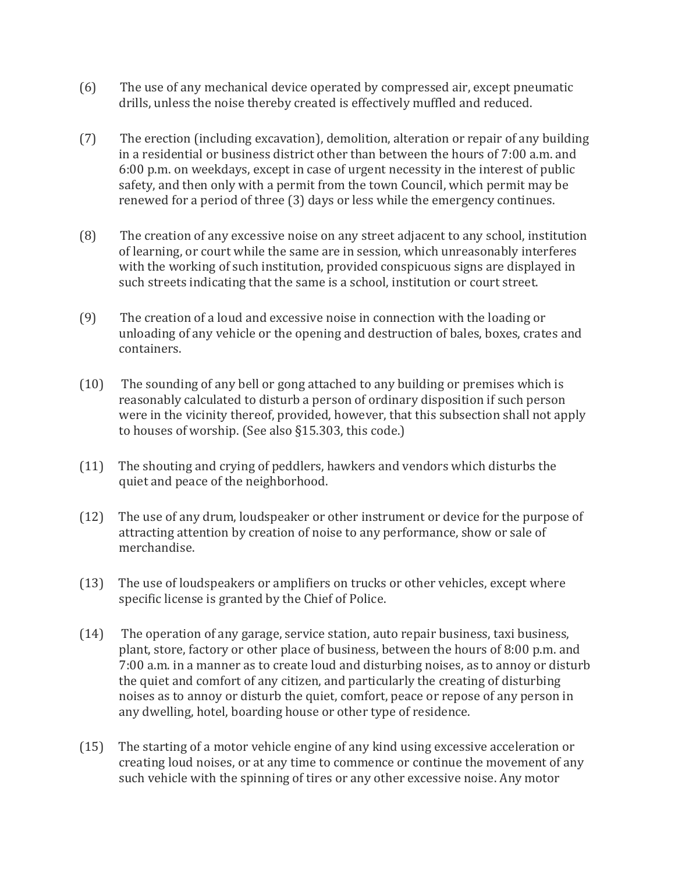- (6) The use of any mechanical device operated by compressed air, except pneumatic drills, unless the noise thereby created is effectively muffled and reduced.
- (7) The erection (including excavation), demolition, alteration or repair of any building in a residential or business district other than between the hours of 7:00 a.m. and 6:00 p.m. on weekdays, except in case of urgent necessity in the interest of public safety, and then only with a permit from the town Council, which permit may be renewed for a period of three (3) days or less while the emergency continues.
- (8) The creation of any excessive noise on any street adjacent to any school, institution of learning, or court while the same are in session, which unreasonably interferes with the working of such institution, provided conspicuous signs are displayed in such streets indicating that the same is a school, institution or court street.
- (9) The creation of a loud and excessive noise in connection with the loading or unloading of any vehicle or the opening and destruction of bales, boxes, crates and containers.
- (10) The sounding of any bell or gong attached to any building or premises which is reasonably calculated to disturb a person of ordinary disposition if such person were in the vicinity thereof, provided, however, that this subsection shall not apply to houses of worship. (See also §15.303, this code.)
- (11) The shouting and crying of peddlers, hawkers and vendors which disturbs the quiet and peace of the neighborhood.
- (12) The use of any drum, loudspeaker or other instrument or device for the purpose of attracting attention by creation of noise to any performance, show or sale of merchandise.
- (13) The use of loudspeakers or amplifiers on trucks or other vehicles, except where specific license is granted by the Chief of Police.
- (14) The operation of any garage, service station, auto repair business, taxi business, plant, store, factory or other place of business, between the hours of 8:00 p.m. and 7:00 a.m. in a manner as to create loud and disturbing noises, as to annoy or disturb the quiet and comfort of any citizen, and particularly the creating of disturbing noises as to annoy or disturb the quiet, comfort, peace or repose of any person in any dwelling, hotel, boarding house or other type of residence.
- (15) The starting of a motor vehicle engine of any kind using excessive acceleration or creating loud noises, or at any time to commence or continue the movement of any such vehicle with the spinning of tires or any other excessive noise. Any motor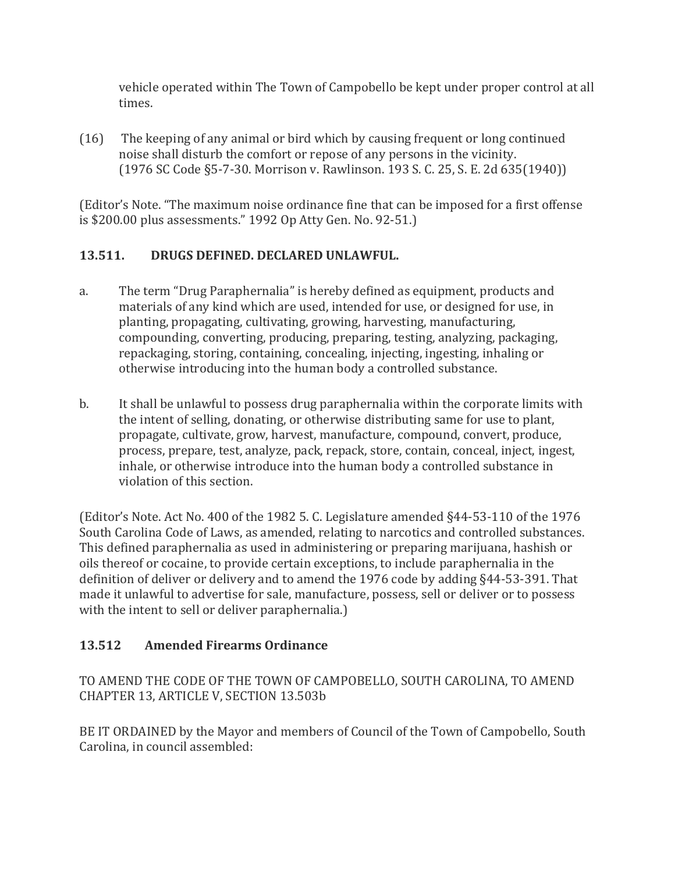vehicle operated within The Town of Campobello be kept under proper control at all times.

(16) The keeping of any animal or bird which by causing frequent or long continued noise shall disturb the comfort or repose of any persons in the vicinity. (1976 SC Code §5-7-30. Morrison v. Rawlinson. 193 S. C. 25, S. E. 2d 635(1940))

(Editor's Note. "The maximum noise ordinance fine that can be imposed for a first offense is \$200.00 plus assessments." 1992 Op Atty Gen. No. 92-51.)

## **13.511. DRUGS DEFINED. DECLARED UNLAWFUL.**

- a. The term "Drug Paraphernalia" is hereby defined as equipment, products and materials of any kind which are used, intended for use, or designed for use, in planting, propagating, cultivating, growing, harvesting, manufacturing, compounding, converting, producing, preparing, testing, analyzing, packaging, repackaging, storing, containing, concealing, injecting, ingesting, inhaling or otherwise introducing into the human body a controlled substance.
- b. It shall be unlawful to possess drug paraphernalia within the corporate limits with the intent of selling, donating, or otherwise distributing same for use to plant, propagate, cultivate, grow, harvest, manufacture, compound, convert, produce, process, prepare, test, analyze, pack, repack, store, contain, conceal, inject, ingest, inhale, or otherwise introduce into the human body a controlled substance in violation of this section.

(Editor's Note. Act No. 400 of the 1982 5. C. Legislature amended §44-53-110 of the 1976 South Carolina Code of Laws, as amended, relating to narcotics and controlled substances. This defined paraphernalia as used in administering or preparing marijuana, hashish or oils thereof or cocaine, to provide certain exceptions, to include paraphernalia in the definition of deliver or delivery and to amend the 1976 code by adding §44-53-391. That made it unlawful to advertise for sale, manufacture, possess, sell or deliver or to possess with the intent to sell or deliver paraphernalia.)

## **13.512 Amended Firearms Ordinance**

TO AMEND THE CODE OF THE TOWN OF CAMPOBELLO, SOUTH CAROLINA, TO AMEND CHAPTER 13, ARTICLE V, SECTION 13.503b

BE IT ORDAINED by the Mayor and members of Council of the Town of Campobello, South Carolina, in council assembled: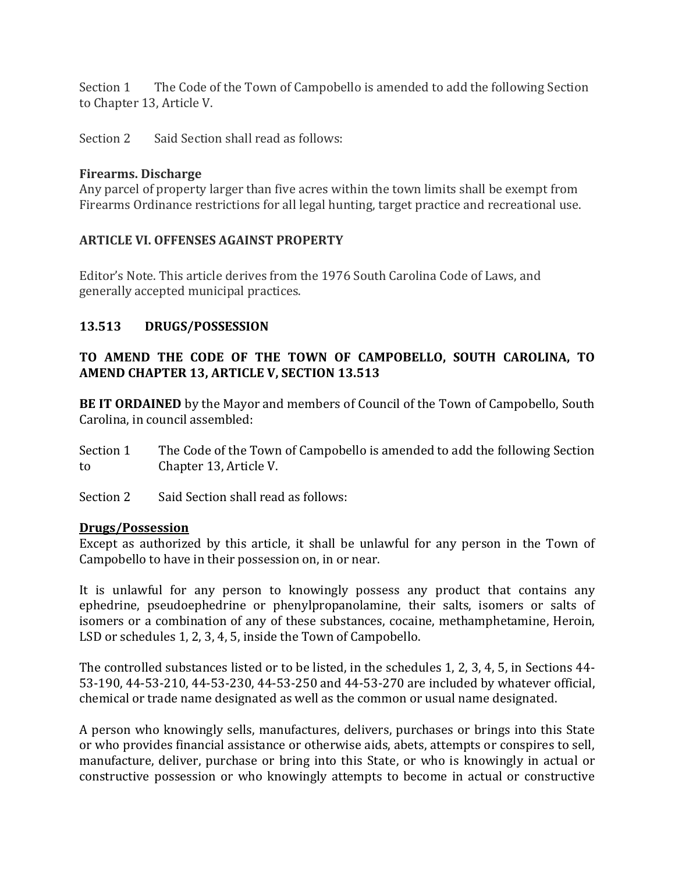Section 1 The Code of the Town of Campobello is amended to add the following Section to Chapter 13, Article V.

Section 2 Said Section shall read as follows:

#### **Firearms. Discharge**

Any parcel of property larger than five acres within the town limits shall be exempt from Firearms Ordinance restrictions for all legal hunting, target practice and recreational use.

#### **ARTICLE VI. OFFENSES AGAINST PROPERTY**

Editor's Note. This article derives from the 1976 South Carolina Code of Laws, and generally accepted municipal practices.

#### **13.513 DRUGS/POSSESSION**

#### **TO AMEND THE CODE OF THE TOWN OF CAMPOBELLO, SOUTH CAROLINA, TO AMEND CHAPTER 13, ARTICLE V, SECTION 13.513**

**BE IT ORDAINED** by the Mayor and members of Council of the Town of Campobello, South Carolina, in council assembled:

- Section 1 The Code of the Town of Campobello is amended to add the following Section to Chapter 13, Article V.
- Section 2 Said Section shall read as follows:

#### **Drugs/Possession**

Except as authorized by this article, it shall be unlawful for any person in the Town of Campobello to have in their possession on, in or near.

It is unlawful for any person to knowingly possess any product that contains any ephedrine, pseudoephedrine or phenylpropanolamine, their salts, isomers or salts of isomers or a combination of any of these substances, cocaine, methamphetamine, Heroin, LSD or schedules 1, 2, 3, 4, 5, inside the Town of Campobello.

The controlled substances listed or to be listed, in the schedules 1, 2, 3, 4, 5, in Sections 44- 53-190, 44-53-210, 44-53-230, 44-53-250 and 44-53-270 are included by whatever official, chemical or trade name designated as well as the common or usual name designated.

A person who knowingly sells, manufactures, delivers, purchases or brings into this State or who provides financial assistance or otherwise aids, abets, attempts or conspires to sell, manufacture, deliver, purchase or bring into this State, or who is knowingly in actual or constructive possession or who knowingly attempts to become in actual or constructive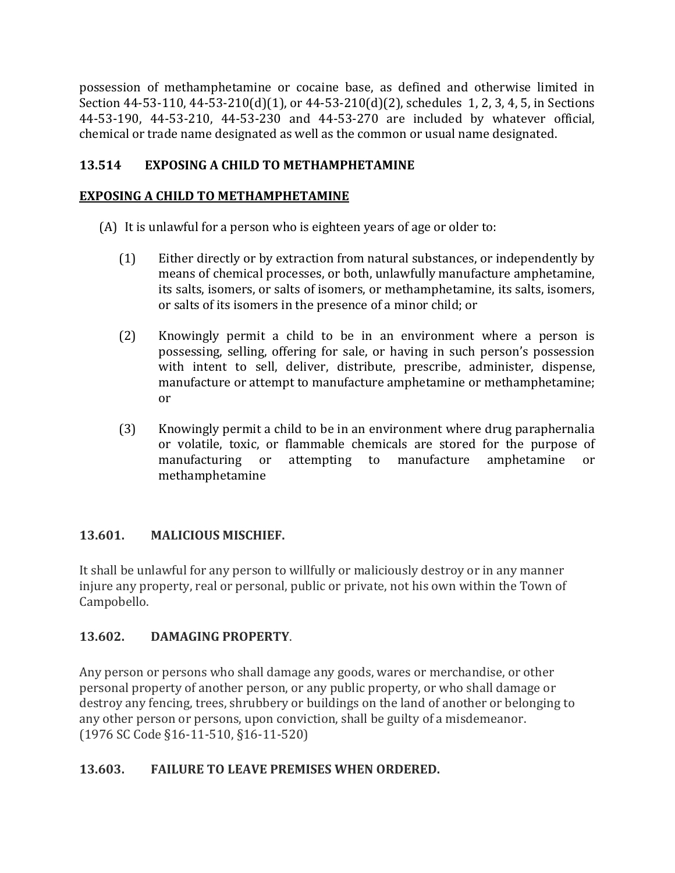possession of methamphetamine or cocaine base, as defined and otherwise limited in Section 44-53-110, 44-53-210(d)(1), or 44-53-210(d)(2), schedules 1, 2, 3, 4, 5, in Sections 44-53-190, 44-53-210, 44-53-230 and 44-53-270 are included by whatever official, chemical or trade name designated as well as the common or usual name designated.

## **13.514 EXPOSING A CHILD TO METHAMPHETAMINE**

#### **EXPOSING A CHILD TO METHAMPHETAMINE**

(A) It is unlawful for a person who is eighteen years of age or older to:

- (1) Either directly or by extraction from natural substances, or independently by means of chemical processes, or both, unlawfully manufacture amphetamine, its salts, isomers, or salts of isomers, or methamphetamine, its salts, isomers, or salts of its isomers in the presence of a minor child; or
- (2) Knowingly permit a child to be in an environment where a person is possessing, selling, offering for sale, or having in such person's possession with intent to sell, deliver, distribute, prescribe, administer, dispense, manufacture or attempt to manufacture amphetamine or methamphetamine; or
- (3) Knowingly permit a child to be in an environment where drug paraphernalia or volatile, toxic, or flammable chemicals are stored for the purpose of manufacturing or attempting to manufacture amphetamine or methamphetamine

#### **13.601. MALICIOUS MISCHIEF.**

It shall be unlawful for any person to willfully or maliciously destroy or in any manner injure any property, real or personal, public or private, not his own within the Town of Campobello.

#### **13.602. DAMAGING PROPERTY**.

Any person or persons who shall damage any goods, wares or merchandise, or other personal property of another person, or any public property, or who shall damage or destroy any fencing, trees, shrubbery or buildings on the land of another or belonging to any other person or persons, upon conviction, shall be guilty of a misdemeanor. (1976 SC Code §16-11-510, §16-11-520)

#### **13.603. FAILURE TO LEAVE PREMISES WHEN ORDERED.**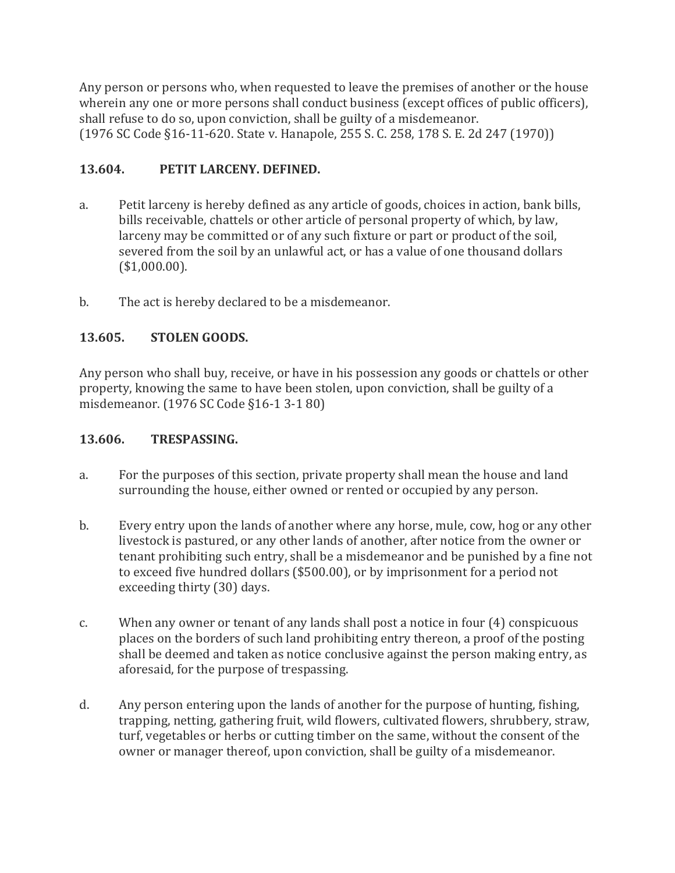Any person or persons who, when requested to leave the premises of another or the house wherein any one or more persons shall conduct business (except offices of public officers), shall refuse to do so, upon conviction, shall be guilty of a misdemeanor. (1976 SC Code §16-11-620. State v. Hanapole, 255 S. C. 258, 178 S. E. 2d 247 (1970))

## **13.604. PETIT LARCENY. DEFINED.**

- a. Petit larceny is hereby defined as any article of goods, choices in action, bank bills, bills receivable, chattels or other article of personal property of which, by law, larceny may be committed or of any such fixture or part or product of the soil, severed from the soil by an unlawful act, or has a value of one thousand dollars (\$1,000.00).
- b. The act is hereby declared to be a misdemeanor.

## **13.605. STOLEN GOODS.**

Any person who shall buy, receive, or have in his possession any goods or chattels or other property, knowing the same to have been stolen, upon conviction, shall be guilty of a misdemeanor. (1976 SC Code §16-1 3-1 80)

#### **13.606. TRESPASSING.**

- a. For the purposes of this section, private property shall mean the house and land surrounding the house, either owned or rented or occupied by any person.
- b. Every entry upon the lands of another where any horse, mule, cow, hog or any other livestock is pastured, or any other lands of another, after notice from the owner or tenant prohibiting such entry, shall be a misdemeanor and be punished by a fine not to exceed five hundred dollars (\$500.00), or by imprisonment for a period not exceeding thirty (30) days.
- c. When any owner or tenant of any lands shall post a notice in four (4) conspicuous places on the borders of such land prohibiting entry thereon, a proof of the posting shall be deemed and taken as notice conclusive against the person making entry, as aforesaid, for the purpose of trespassing.
- d. Any person entering upon the lands of another for the purpose of hunting, fishing, trapping, netting, gathering fruit, wild flowers, cultivated flowers, shrubbery, straw, turf, vegetables or herbs or cutting timber on the same, without the consent of the owner or manager thereof, upon conviction, shall be guilty of a misdemeanor.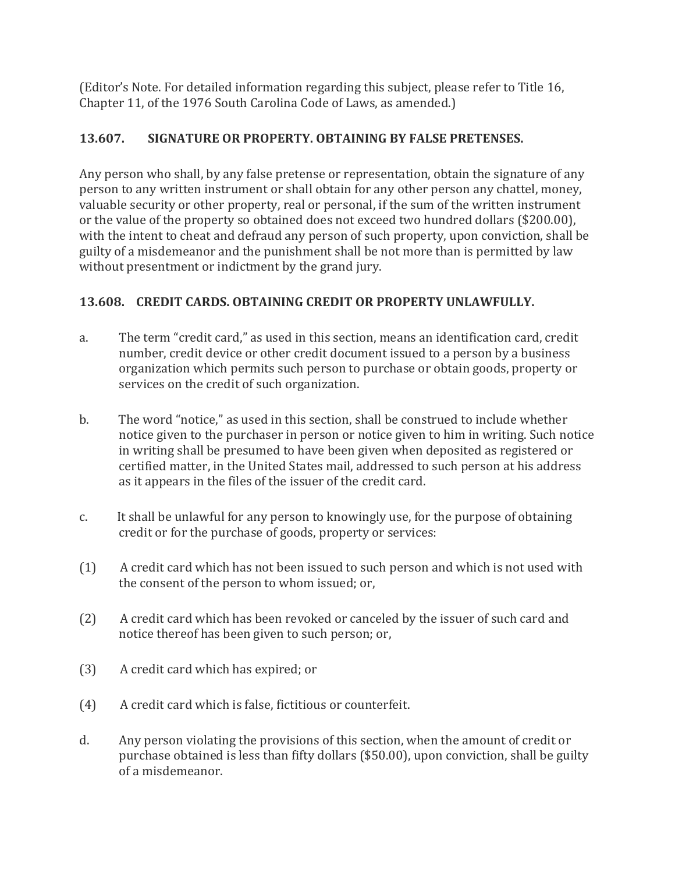(Editor's Note. For detailed information regarding this subject, please refer to Title 16, Chapter 11, of the 1976 South Carolina Code of Laws, as amended.)

## **13.607. SIGNATURE OR PROPERTY. OBTAINING BY FALSE PRETENSES.**

Any person who shall, by any false pretense or representation, obtain the signature of any person to any written instrument or shall obtain for any other person any chattel, money, valuable security or other property, real or personal, if the sum of the written instrument or the value of the property so obtained does not exceed two hundred dollars (\$200.00), with the intent to cheat and defraud any person of such property, upon conviction, shall be guilty of a misdemeanor and the punishment shall be not more than is permitted by law without presentment or indictment by the grand jury.

## **13.608. CREDIT CARDS. OBTAINING CREDIT OR PROPERTY UNLAWFULLY.**

- a. The term "credit card," as used in this section, means an identification card, credit number, credit device or other credit document issued to a person by a business organization which permits such person to purchase or obtain goods, property or services on the credit of such organization.
- b. The word "notice," as used in this section, shall be construed to include whether notice given to the purchaser in person or notice given to him in writing. Such notice in writing shall be presumed to have been given when deposited as registered or certified matter, in the United States mail, addressed to such person at his address as it appears in the files of the issuer of the credit card.
- c. It shall be unlawful for any person to knowingly use, for the purpose of obtaining credit or for the purchase of goods, property or services:
- (1) A credit card which has not been issued to such person and which is not used with the consent of the person to whom issued; or,
- (2) A credit card which has been revoked or canceled by the issuer of such card and notice thereof has been given to such person; or,
- (3) A credit card which has expired; or
- (4) A credit card which is false, fictitious or counterfeit.
- d. Any person violating the provisions of this section, when the amount of credit or purchase obtained is less than fifty dollars (\$50.00), upon conviction, shall be guilty of a misdemeanor.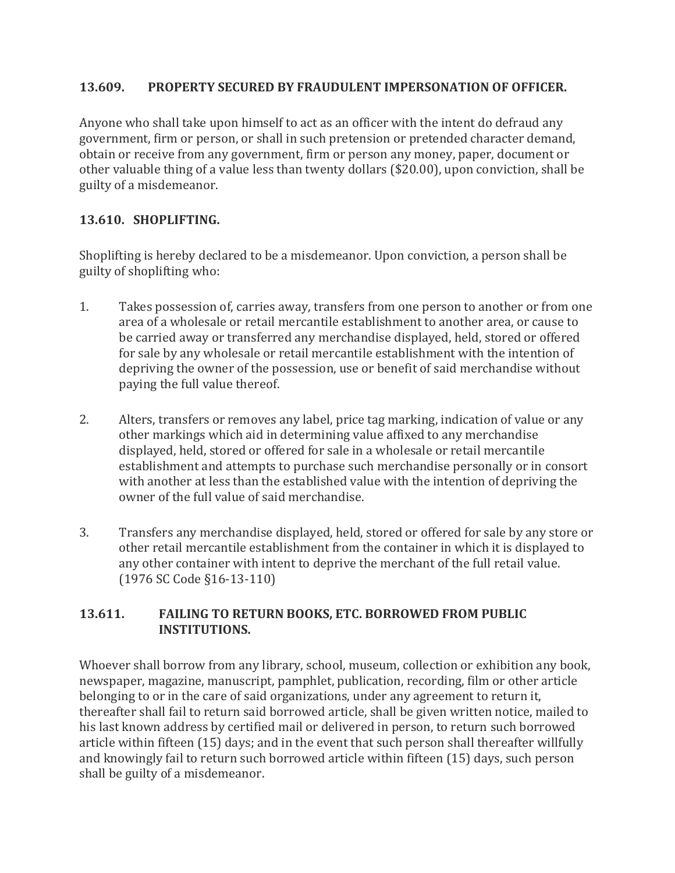#### **13.609. PROPERTY SECURED BY FRAUDULENT IMPERSONATION OF OFFICER.**

Anyone who shall take upon himself to act as an officer with the intent do defraud any government, firm or person, or shall in such pretension or pretended character demand, obtain or receive from any government, firm or person any money, paper, document or other valuable thing of a value less than twenty dollars (\$20.00), upon conviction, shall be guilty of a misdemeanor.

#### **13.610. SHOPLIFTING.**

Shoplifting is hereby declared to be a misdemeanor. Upon conviction, a person shall be guilty of shoplifting who:

- 1. Takes possession of, carries away, transfers from one person to another or from one area of a wholesale or retail mercantile establishment to another area, or cause to be carried away or transferred any merchandise displayed, held, stored or offered for sale by any wholesale or retail mercantile establishment with the intention of depriving the owner of the possession, use or benefit of said merchandise without paying the full value thereof.
- 2. Alters, transfers or removes any label, price tag marking, indication of value or any other markings which aid in determining value affixed to any merchandise displayed, held, stored or offered for sale in a wholesale or retail mercantile establishment and attempts to purchase such merchandise personally or in consort with another at less than the established value with the intention of depriving the owner of the full value of said merchandise.
- 3. Transfers any merchandise displayed, held, stored or offered for sale by any store or other retail mercantile establishment from the container in which it is displayed to any other container with intent to deprive the merchant of the full retail value. (1976 SC Code §16-13-110)

#### **13.611. FAILING TO RETURN BOOKS, ETC. BORROWED FROM PUBLIC INSTITUTIONS.**

Whoever shall borrow from any library, school, museum, collection or exhibition any book, newspaper, magazine, manuscript, pamphlet, publication, recording, film or other article belonging to or in the care of said organizations, under any agreement to return it, thereafter shall fail to return said borrowed article, shall be given written notice, mailed to his last known address by certified mail or delivered in person, to return such borrowed article within fifteen (15) days; and in the event that such person shall thereafter willfully and knowingly fail to return such borrowed article within fifteen (15) days, such person shall be guilty of a misdemeanor.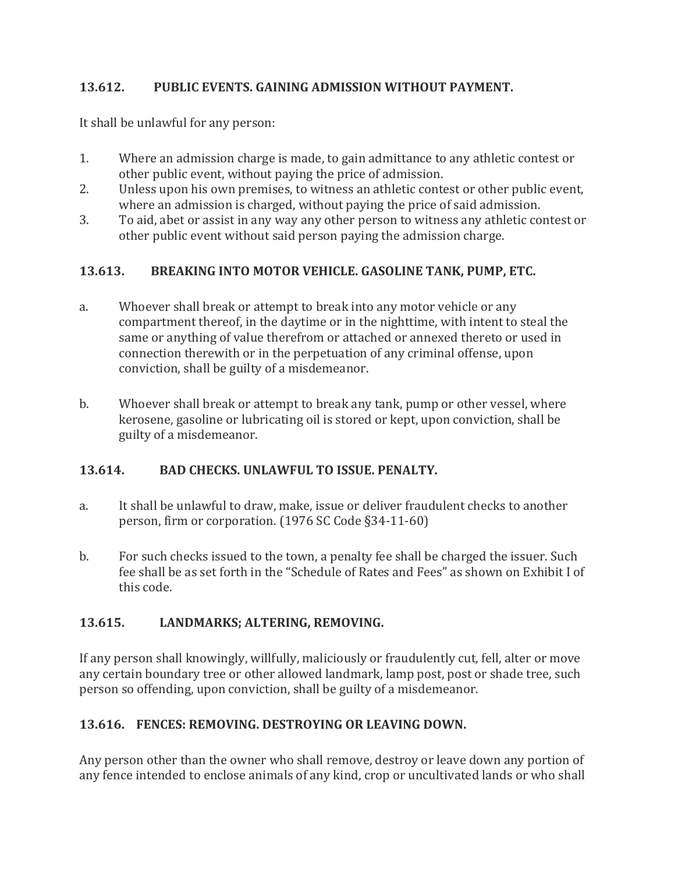## **13.612. PUBLIC EVENTS. GAINING ADMISSION WITHOUT PAYMENT.**

It shall be unlawful for any person:

- 1. Where an admission charge is made, to gain admittance to any athletic contest or other public event, without paying the price of admission.
- 2. Unless upon his own premises, to witness an athletic contest or other public event, where an admission is charged, without paying the price of said admission.
- 3. To aid, abet or assist in any way any other person to witness any athletic contest or other public event without said person paying the admission charge.

## **13.613. BREAKING INTO MOTOR VEHICLE. GASOLINE TANK, PUMP, ETC.**

- a. Whoever shall break or attempt to break into any motor vehicle or any compartment thereof, in the daytime or in the nighttime, with intent to steal the same or anything of value therefrom or attached or annexed thereto or used in connection therewith or in the perpetuation of any criminal offense, upon conviction, shall be guilty of a misdemeanor.
- b. Whoever shall break or attempt to break any tank, pump or other vessel, where kerosene, gasoline or lubricating oil is stored or kept, upon conviction, shall be guilty of a misdemeanor.

## **13.614. BAD CHECKS. UNLAWFUL TO ISSUE. PENALTY.**

- a. It shall be unlawful to draw, make, issue or deliver fraudulent checks to another person, firm or corporation. (1976 SC Code §34-11-60)
- b. For such checks issued to the town, a penalty fee shall be charged the issuer. Such fee shall be as set forth in the "Schedule of Rates and Fees" as shown on Exhibit I of this code.

## **13.615. LANDMARKS; ALTERING, REMOVING.**

If any person shall knowingly, willfully, maliciously or fraudulently cut, fell, alter or move any certain boundary tree or other allowed landmark, lamp post, post or shade tree, such person so offending, upon conviction, shall be guilty of a misdemeanor.

## **13.616. FENCES: REMOVING. DESTROYING OR LEAVING DOWN.**

Any person other than the owner who shall remove, destroy or leave down any portion of any fence intended to enclose animals of any kind, crop or uncultivated lands or who shall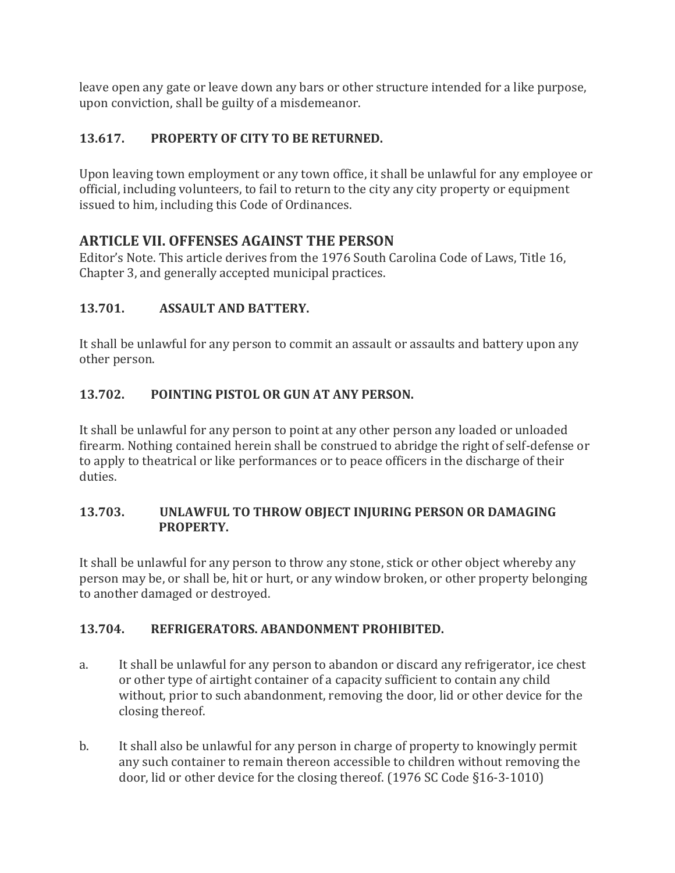leave open any gate or leave down any bars or other structure intended for a like purpose, upon conviction, shall be guilty of a misdemeanor.

## **13.617. PROPERTY OF CITY TO BE RETURNED.**

Upon leaving town employment or any town office, it shall be unlawful for any employee or official, including volunteers, to fail to return to the city any city property or equipment issued to him, including this Code of Ordinances.

## **ARTICLE VII. OFFENSES AGAINST THE PERSON**

Editor's Note. This article derives from the 1976 South Carolina Code of Laws, Title 16, Chapter 3, and generally accepted municipal practices.

## **13.701. ASSAULT AND BATTERY.**

It shall be unlawful for any person to commit an assault or assaults and battery upon any other person.

## **13.702. POINTING PISTOL OR GUN AT ANY PERSON.**

It shall be unlawful for any person to point at any other person any loaded or unloaded firearm. Nothing contained herein shall be construed to abridge the right of self-defense or to apply to theatrical or like performances or to peace officers in the discharge of their duties.

#### **13.703. UNLAWFUL TO THROW OBJECT INJURING PERSON OR DAMAGING PROPERTY.**

It shall be unlawful for any person to throw any stone, stick or other object whereby any person may be, or shall be, hit or hurt, or any window broken, or other property belonging to another damaged or destroyed.

#### **13.704. REFRIGERATORS. ABANDONMENT PROHIBITED.**

- a. It shall be unlawful for any person to abandon or discard any refrigerator, ice chest or other type of airtight container of a capacity sufficient to contain any child without, prior to such abandonment, removing the door, lid or other device for the closing thereof.
- b. It shall also be unlawful for any person in charge of property to knowingly permit any such container to remain thereon accessible to children without removing the door, lid or other device for the closing thereof. (1976 SC Code §16-3-1010)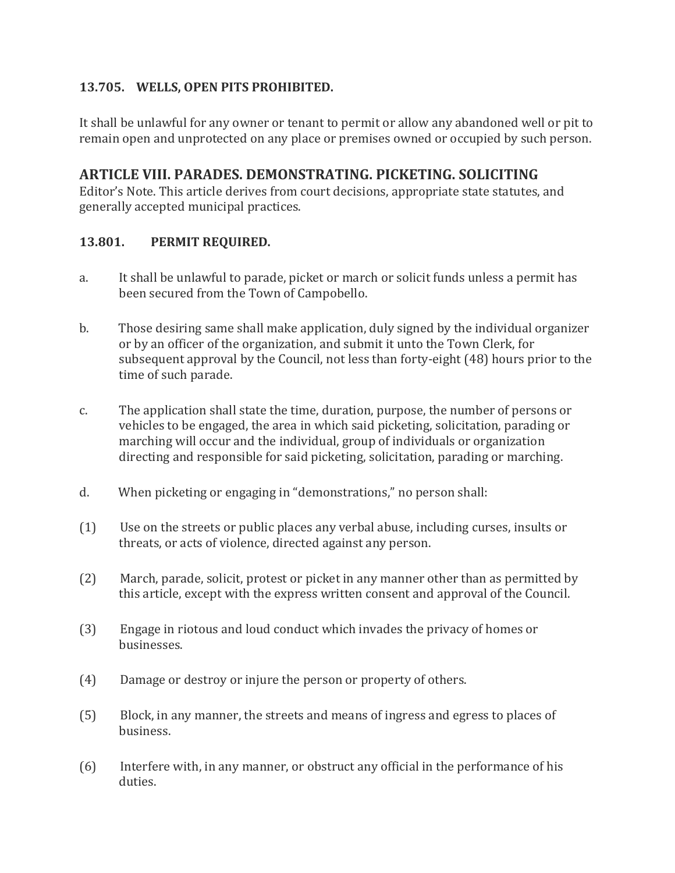#### **13.705. WELLS, OPEN PITS PROHIBITED.**

It shall be unlawful for any owner or tenant to permit or allow any abandoned well or pit to remain open and unprotected on any place or premises owned or occupied by such person.

## **ARTICLE VIII. PARADES. DEMONSTRATING. PICKETING. SOLICITING**

Editor's Note. This article derives from court decisions, appropriate state statutes, and generally accepted municipal practices.

#### **13.801. PERMIT REQUIRED.**

- a. It shall be unlawful to parade, picket or march or solicit funds unless a permit has been secured from the Town of Campobello.
- b. Those desiring same shall make application, duly signed by the individual organizer or by an officer of the organization, and submit it unto the Town Clerk, for subsequent approval by the Council, not less than forty-eight (48) hours prior to the time of such parade.
- c. The application shall state the time, duration, purpose, the number of persons or vehicles to be engaged, the area in which said picketing, solicitation, parading or marching will occur and the individual, group of individuals or organization directing and responsible for said picketing, solicitation, parading or marching.
- d. When picketing or engaging in "demonstrations," no person shall:
- (1) Use on the streets or public places any verbal abuse, including curses, insults or threats, or acts of violence, directed against any person.
- (2) March, parade, solicit, protest or picket in any manner other than as permitted by this article, except with the express written consent and approval of the Council.
- (3) Engage in riotous and loud conduct which invades the privacy of homes or businesses.
- (4) Damage or destroy or injure the person or property of others.
- (5) Block, in any manner, the streets and means of ingress and egress to places of business.
- (6) Interfere with, in any manner, or obstruct any official in the performance of his duties.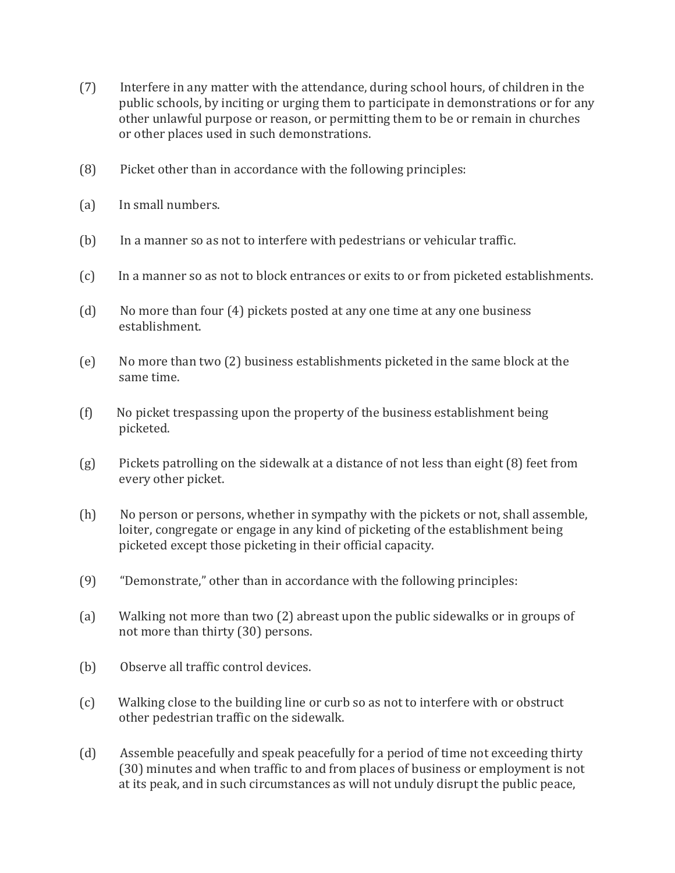- (7) Interfere in any matter with the attendance, during school hours, of children in the public schools, by inciting or urging them to participate in demonstrations or for any other unlawful purpose or reason, or permitting them to be or remain in churches or other places used in such demonstrations.
- (8) Picket other than in accordance with the following principles:
- (a) In small numbers.
- (b) In a manner so as not to interfere with pedestrians or vehicular traffic.
- (c) In a manner so as not to block entrances or exits to or from picketed establishments.
- (d) No more than four (4) pickets posted at any one time at any one business establishment.
- (e) No more than two (2) business establishments picketed in the same block at the same time.
- (f) No picket trespassing upon the property of the business establishment being picketed.
- (g) Pickets patrolling on the sidewalk at a distance of not less than eight (8) feet from every other picket.
- (h) No person or persons, whether in sympathy with the pickets or not, shall assemble, loiter, congregate or engage in any kind of picketing of the establishment being picketed except those picketing in their official capacity.
- (9) "Demonstrate," other than in accordance with the following principles:
- (a) Walking not more than two (2) abreast upon the public sidewalks or in groups of not more than thirty (30) persons.
- (b) Observe all traffic control devices.
- (c) Walking close to the building line or curb so as not to interfere with or obstruct other pedestrian traffic on the sidewalk.
- (d) Assemble peacefully and speak peacefully for a period of time not exceeding thirty (30) minutes and when traffic to and from places of business or employment is not at its peak, and in such circumstances as will not unduly disrupt the public peace,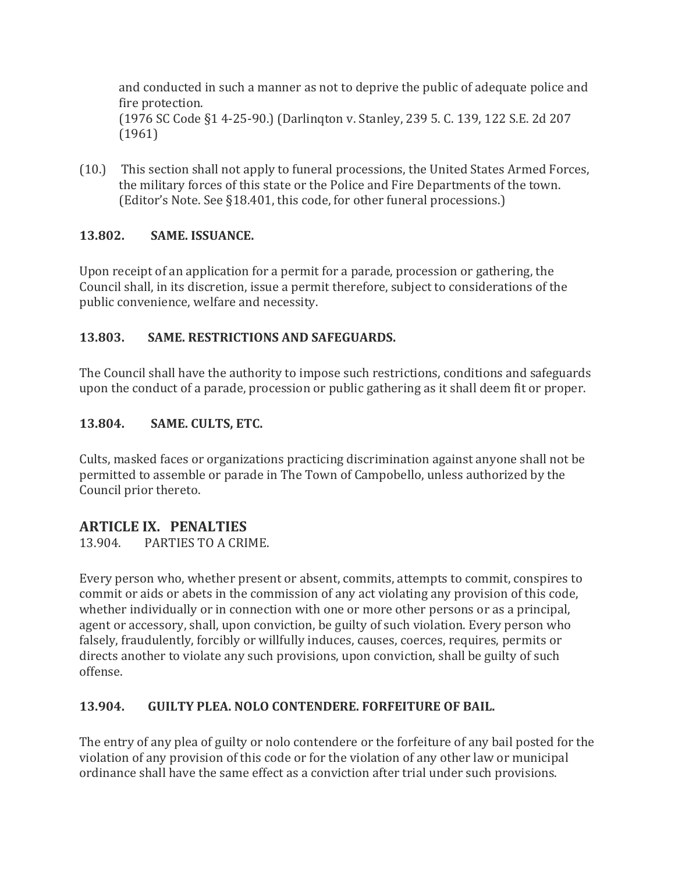and conducted in such a manner as not to deprive the public of adequate police and fire protection. (1976 SC Code §1 4-25-90.) (Darlinqton v. Stanley, 239 5. C. 139, 122 S.E. 2d 207 (1961)

(10.) This section shall not apply to funeral processions, the United States Armed Forces, the military forces of this state or the Police and Fire Departments of the town. (Editor's Note. See §18.401, this code, for other funeral processions.)

## **13.802. SAME. ISSUANCE.**

Upon receipt of an application for a permit for a parade, procession or gathering, the Council shall, in its discretion, issue a permit therefore, subject to considerations of the public convenience, welfare and necessity.

## **13.803. SAME. RESTRICTIONS AND SAFEGUARDS.**

The Council shall have the authority to impose such restrictions, conditions and safeguards upon the conduct of a parade, procession or public gathering as it shall deem fit or proper.

## **13.804. SAME. CULTS, ETC.**

Cults, masked faces or organizations practicing discrimination against anyone shall not be permitted to assemble or parade in The Town of Campobello, unless authorized by the Council prior thereto.

## **ARTICLE IX. PENALTIES**

13.904. PARTIES TO A CRIME.

Every person who, whether present or absent, commits, attempts to commit, conspires to commit or aids or abets in the commission of any act violating any provision of this code, whether individually or in connection with one or more other persons or as a principal, agent or accessory, shall, upon conviction, be guilty of such violation. Every person who falsely, fraudulently, forcibly or willfully induces, causes, coerces, requires, permits or directs another to violate any such provisions, upon conviction, shall be guilty of such offense.

#### **13.904. GUILTY PLEA. NOLO CONTENDERE. FORFEITURE OF BAIL.**

The entry of any plea of guilty or nolo contendere or the forfeiture of any bail posted for the violation of any provision of this code or for the violation of any other law or municipal ordinance shall have the same effect as a conviction after trial under such provisions.